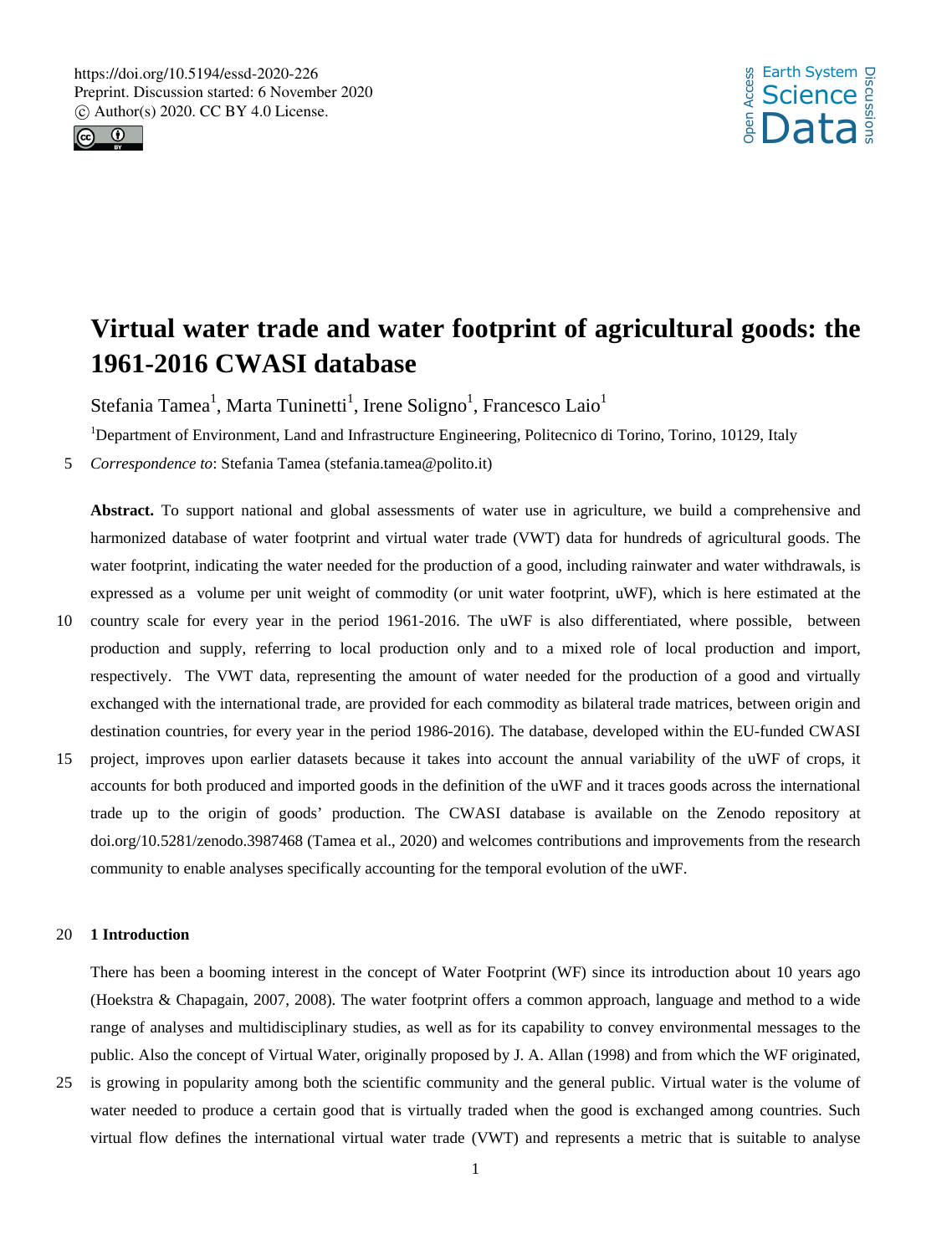



# **Virtual water trade and water footprint of agricultural goods: the 1961-2016 CWASI database**

Stefania Tamea<sup>1</sup>, Marta Tuninetti<sup>1</sup>, Irene Soligno<sup>1</sup>, Francesco Laio<sup>1</sup>

<sup>1</sup>Department of Environment, Land and Infrastructure Engineering, Politecnico di Torino, Torino, 10129, Italy

5 *Correspondence to*: Stefania Tamea (stefania.tamea@polito.it)

**Abstract.** To support national and global assessments of water use in agriculture, we build a comprehensive and harmonized database of water footprint and virtual water trade (VWT) data for hundreds of agricultural goods. The water footprint, indicating the water needed for the production of a good, including rainwater and water withdrawals, is expressed as a volume per unit weight of commodity (or unit water footprint, uWF), which is here estimated at the

- 10 country scale for every year in the period 1961-2016. The uWF is also differentiated, where possible, between production and supply, referring to local production only and to a mixed role of local production and import, respectively. The VWT data, representing the amount of water needed for the production of a good and virtually exchanged with the international trade, are provided for each commodity as bilateral trade matrices, between origin and destination countries, for every year in the period 1986-2016). The database, developed within the EU-funded CWASI
- 15 project, improves upon earlier datasets because it takes into account the annual variability of the uWF of crops, it accounts for both produced and imported goods in the definition of the uWF and it traces goods across the international trade up to the origin of goods' production. The CWASI database is available on the Zenodo repository at doi.org/10.5281/zenodo.3987468 (Tamea et al., 2020) and welcomes contributions and improvements from the research community to enable analyses specifically accounting for the temporal evolution of the uWF.

# 20 **1 Introduction**

There has been a booming interest in the concept of Water Footprint (WF) since its introduction about 10 years ago (Hoekstra & Chapagain, 2007, 2008). The water footprint offers a common approach, language and method to a wide range of analyses and multidisciplinary studies, as well as for its capability to convey environmental messages to the public. Also the concept of Virtual Water, originally proposed by J. A. Allan (1998) and from which the WF originated,

25 is growing in popularity among both the scientific community and the general public. Virtual water is the volume of water needed to produce a certain good that is virtually traded when the good is exchanged among countries. Such virtual flow defines the international virtual water trade (VWT) and represents a metric that is suitable to analyse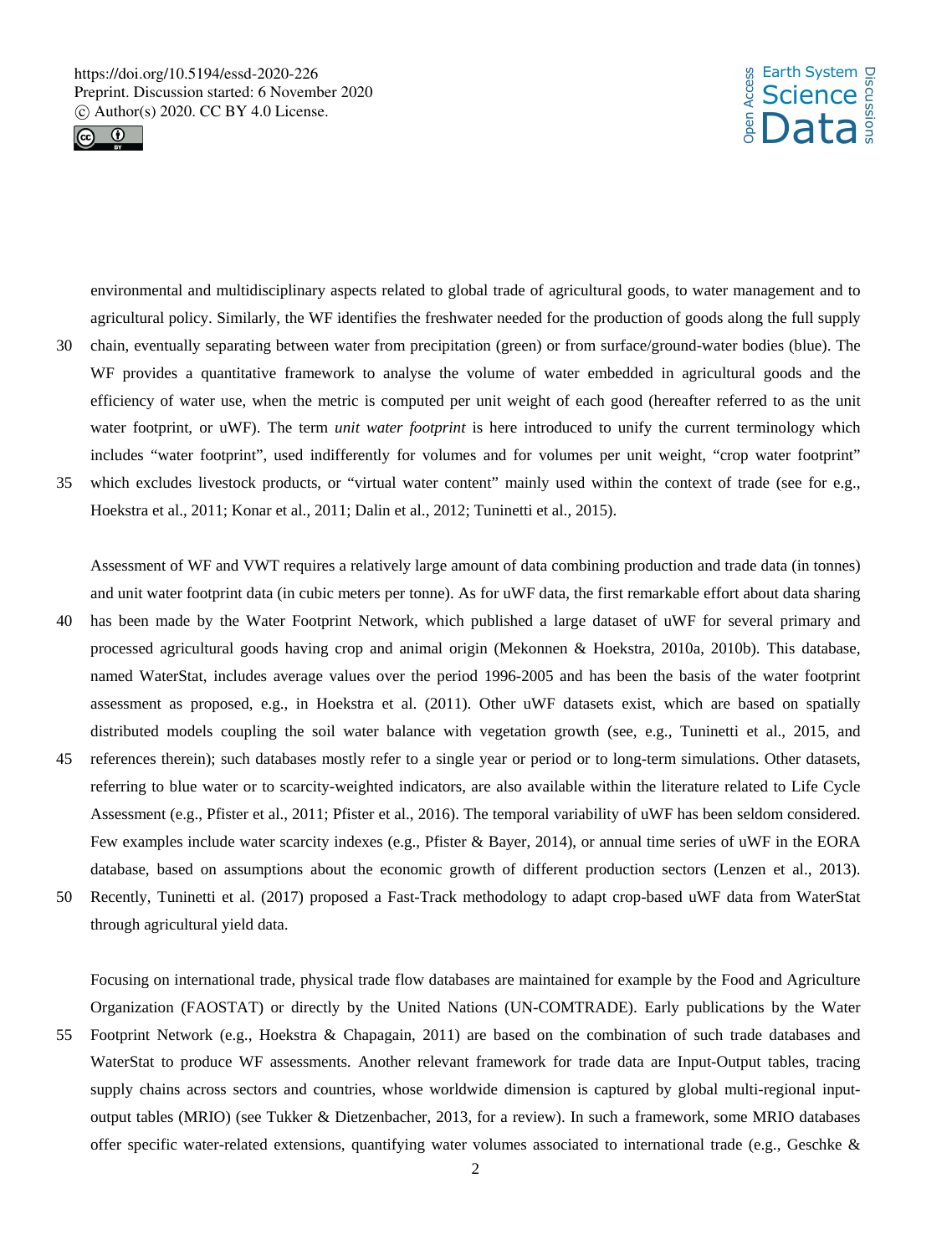



environmental and multidisciplinary aspects related to global trade of agricultural goods, to water management and to agricultural policy. Similarly, the WF identifies the freshwater needed for the production of goods along the full supply 30 chain, eventually separating between water from precipitation (green) or from surface/ground-water bodies (blue). The WF provides a quantitative framework to analyse the volume of water embedded in agricultural goods and the efficiency of water use, when the metric is computed per unit weight of each good (hereafter referred to as the unit water footprint, or uWF). The term *unit water footprint* is here introduced to unify the current terminology which includes "water footprint", used indifferently for volumes and for volumes per unit weight, "crop water footprint" 35 which excludes livestock products, or "virtual water content" mainly used within the context of trade (see for e.g., Hoekstra et al., 2011; Konar et al., 2011; Dalin et al., 2012; Tuninetti et al., 2015).

Assessment of WF and VWT requires a relatively large amount of data combining production and trade data (in tonnes) and unit water footprint data (in cubic meters per tonne). As for uWF data, the first remarkable effort about data sharing

- 40 has been made by the Water Footprint Network, which published a large dataset of uWF for several primary and processed agricultural goods having crop and animal origin (Mekonnen & Hoekstra, 2010a, 2010b). This database, named WaterStat, includes average values over the period 1996-2005 and has been the basis of the water footprint assessment as proposed, e.g., in Hoekstra et al. (2011). Other uWF datasets exist, which are based on spatially distributed models coupling the soil water balance with vegetation growth (see, e.g., Tuninetti et al., 2015, and 45 references therein); such databases mostly refer to a single year or period or to long-term simulations. Other datasets,
- referring to blue water or to scarcity-weighted indicators, are also available within the literature related to Life Cycle Assessment (e.g., Pfister et al., 2011; Pfister et al., 2016). The temporal variability of uWF has been seldom considered. Few examples include water scarcity indexes (e.g., Pfister & Bayer, 2014), or annual time series of uWF in the EORA database, based on assumptions about the economic growth of different production sectors (Lenzen et al., 2013).
- 50 Recently, Tuninetti et al. (2017) proposed a Fast-Track methodology to adapt crop-based uWF data from WaterStat through agricultural yield data.

Focusing on international trade, physical trade flow databases are maintained for example by the Food and Agriculture Organization (FAOSTAT) or directly by the United Nations (UN-COMTRADE). Early publications by the Water

55 Footprint Network (e.g., Hoekstra & Chapagain, 2011) are based on the combination of such trade databases and WaterStat to produce WF assessments. Another relevant framework for trade data are Input-Output tables, tracing supply chains across sectors and countries, whose worldwide dimension is captured by global multi-regional inputoutput tables (MRIO) (see Tukker & Dietzenbacher, 2013, for a review). In such a framework, some MRIO databases offer specific water-related extensions, quantifying water volumes associated to international trade (e.g., Geschke &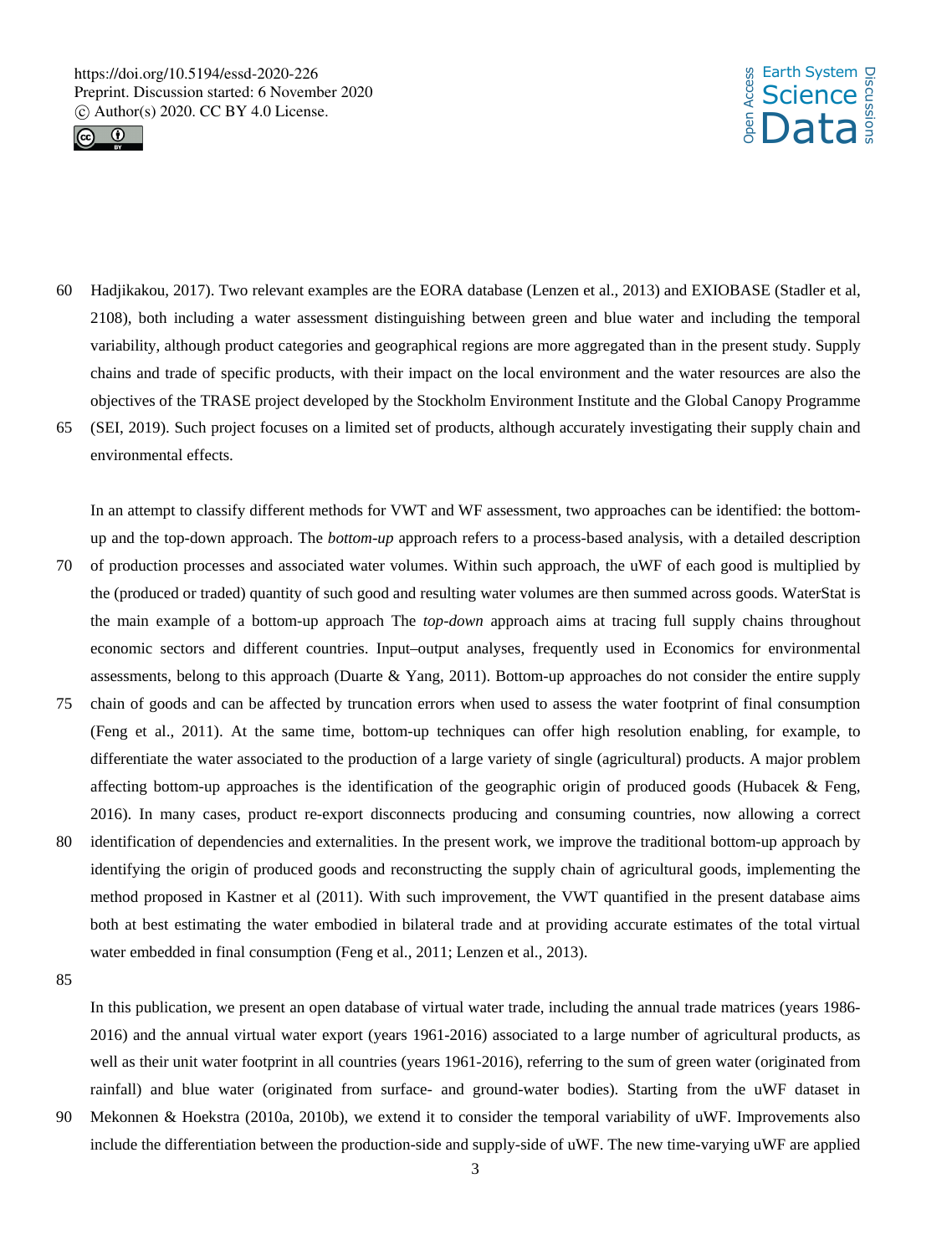



60 Hadjikakou, 2017). Two relevant examples are the EORA database (Lenzen et al., 2013) and EXIOBASE (Stadler et al, 2108), both including a water assessment distinguishing between green and blue water and including the temporal variability, although product categories and geographical regions are more aggregated than in the present study. Supply chains and trade of specific products, with their impact on the local environment and the water resources are also the objectives of the TRASE project developed by the Stockholm Environment Institute and the Global Canopy Programme 65 (SEI, 2019). Such project focuses on a limited set of products, although accurately investigating their supply chain and

environmental effects.

In an attempt to classify different methods for VWT and WF assessment, two approaches can be identified: the bottomup and the top-down approach. The *bottom-up* approach refers to a process-based analysis, with a detailed description 70 of production processes and associated water volumes. Within such approach, the uWF of each good is multiplied by the (produced or traded) quantity of such good and resulting water volumes are then summed across goods. WaterStat is the main example of a bottom-up approach The *top-down* approach aims at tracing full supply chains throughout economic sectors and different countries. Input–output analyses, frequently used in Economics for environmental assessments, belong to this approach (Duarte & Yang, 2011). Bottom-up approaches do not consider the entire supply

- 75 chain of goods and can be affected by truncation errors when used to assess the water footprint of final consumption (Feng et al., 2011). At the same time, bottom-up techniques can offer high resolution enabling, for example, to differentiate the water associated to the production of a large variety of single (agricultural) products. A major problem affecting bottom-up approaches is the identification of the geographic origin of produced goods (Hubacek & Feng, 2016). In many cases, product re-export disconnects producing and consuming countries, now allowing a correct
- 80 identification of dependencies and externalities. In the present work, we improve the traditional bottom-up approach by identifying the origin of produced goods and reconstructing the supply chain of agricultural goods, implementing the method proposed in Kastner et al (2011). With such improvement, the VWT quantified in the present database aims both at best estimating the water embodied in bilateral trade and at providing accurate estimates of the total virtual water embedded in final consumption (Feng et al., 2011; Lenzen et al., 2013).
- 85

In this publication, we present an open database of virtual water trade, including the annual trade matrices (years 1986- 2016) and the annual virtual water export (years 1961-2016) associated to a large number of agricultural products, as well as their unit water footprint in all countries (years 1961-2016), referring to the sum of green water (originated from rainfall) and blue water (originated from surface- and ground-water bodies). Starting from the uWF dataset in 90 Mekonnen & Hoekstra (2010a, 2010b), we extend it to consider the temporal variability of uWF. Improvements also

include the differentiation between the production-side and supply-side of uWF. The new time-varying uWF are applied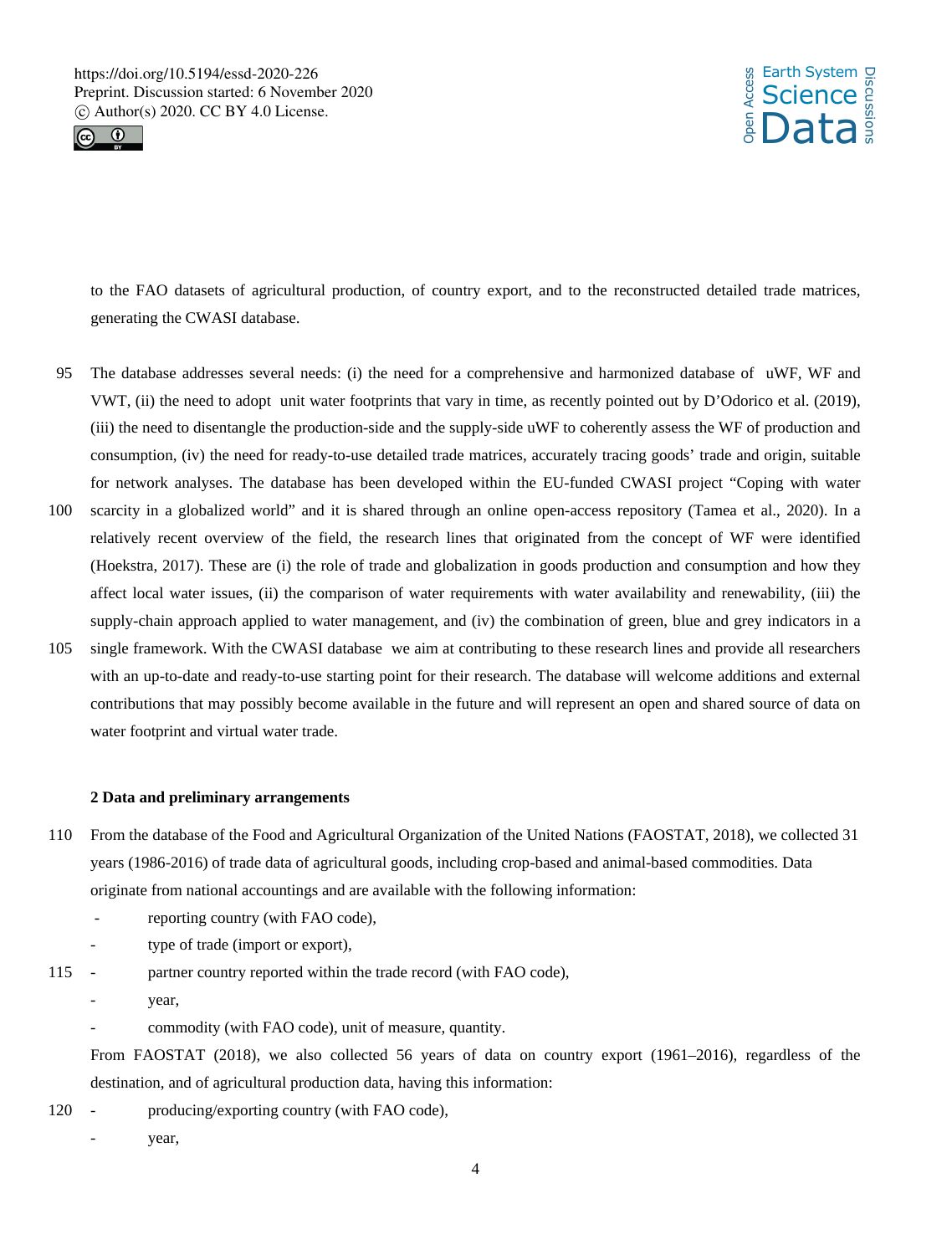



to the FAO datasets of agricultural production, of country export, and to the reconstructed detailed trade matrices, generating the CWASI database.

- 95 The database addresses several needs: (i) the need for a comprehensive and harmonized database of uWF, WF and VWT, (ii) the need to adopt unit water footprints that vary in time, as recently pointed out by D'Odorico et al. (2019), (iii) the need to disentangle the production-side and the supply-side uWF to coherently assess the WF of production and consumption, (iv) the need for ready-to-use detailed trade matrices, accurately tracing goods' trade and origin, suitable for network analyses. The database has been developed within the EU-funded CWASI project "Coping with water 100 scarcity in a globalized world" and it is shared through an online open-access repository (Tamea et al., 2020). In a relatively recent overview of the field, the research lines that originated from the concept of WF were identified (Hoekstra, 2017). These are (i) the role of trade and globalization in goods production and consumption and how they affect local water issues, (ii) the comparison of water requirements with water availability and renewability, (iii) the
- supply-chain approach applied to water management, and (iv) the combination of green, blue and grey indicators in a 105 single framework. With the CWASI database we aim at contributing to these research lines and provide all researchers with an up-to-date and ready-to-use starting point for their research. The database will welcome additions and external contributions that may possibly become available in the future and will represent an open and shared source of data on water footprint and virtual water trade.

# **2 Data and preliminary arrangements**

- 110 From the database of the Food and Agricultural Organization of the United Nations (FAOSTAT, 2018), we collected 31 years (1986-2016) of trade data of agricultural goods, including crop-based and animal-based commodities. Data originate from national accountings and are available with the following information:
	- reporting country (with FAO code),
	- type of trade (import or export),
- 115 partner country reported within the trade record (with FAO code),
	- year,
	- commodity (with FAO code), unit of measure, quantity.

From FAOSTAT (2018), we also collected 56 years of data on country export (1961–2016), regardless of the destination, and of agricultural production data, having this information:

- 120 producing/exporting country (with FAO code),
	- year,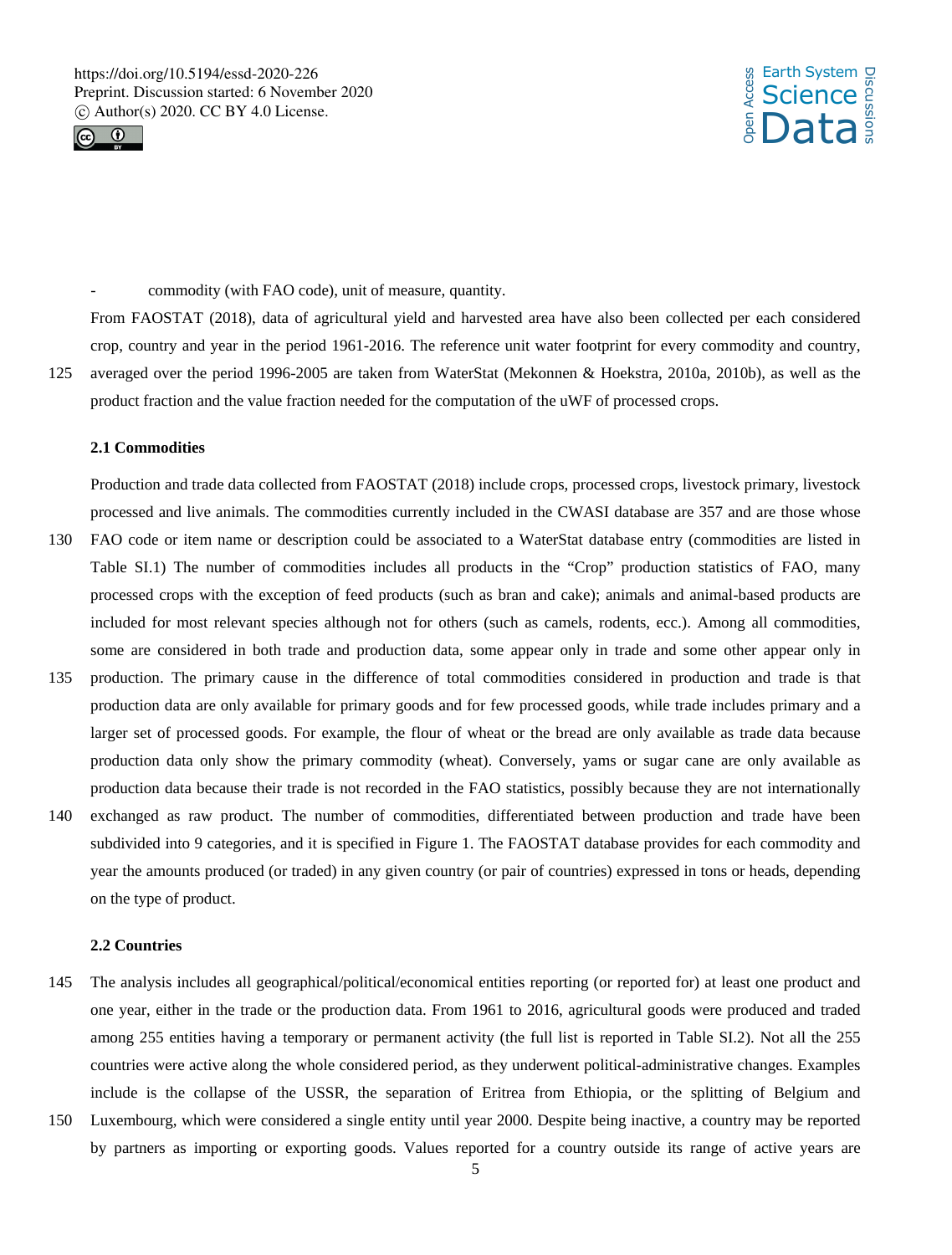



commodity (with FAO code), unit of measure, quantity.

From FAOSTAT (2018), data of agricultural yield and harvested area have also been collected per each considered crop, country and year in the period 1961-2016. The reference unit water footprint for every commodity and country, 125 averaged over the period 1996-2005 are taken from WaterStat (Mekonnen & Hoekstra, 2010a, 2010b), as well as the product fraction and the value fraction needed for the computation of the uWF of processed crops.

# **2.1 Commodities**

Production and trade data collected from FAOSTAT (2018) include crops, processed crops, livestock primary, livestock processed and live animals. The commodities currently included in the CWASI database are 357 and are those whose 130 FAO code or item name or description could be associated to a WaterStat database entry (commodities are listed in Table SI.1) The number of commodities includes all products in the "Crop" production statistics of FAO, many processed crops with the exception of feed products (such as bran and cake); animals and animal-based products are included for most relevant species although not for others (such as camels, rodents, ecc.). Among all commodities, some are considered in both trade and production data, some appear only in trade and some other appear only in

- 135 production. The primary cause in the difference of total commodities considered in production and trade is that production data are only available for primary goods and for few processed goods, while trade includes primary and a larger set of processed goods. For example, the flour of wheat or the bread are only available as trade data because production data only show the primary commodity (wheat). Conversely, yams or sugar cane are only available as production data because their trade is not recorded in the FAO statistics, possibly because they are not internationally
- 140 exchanged as raw product. The number of commodities, differentiated between production and trade have been subdivided into 9 categories, and it is specified in Figure 1. The FAOSTAT database provides for each commodity and year the amounts produced (or traded) in any given country (or pair of countries) expressed in tons or heads, depending on the type of product.

# **2.2 Countries**

- 145 The analysis includes all geographical/political/economical entities reporting (or reported for) at least one product and one year, either in the trade or the production data. From 1961 to 2016, agricultural goods were produced and traded among 255 entities having a temporary or permanent activity (the full list is reported in Table SI.2). Not all the 255 countries were active along the whole considered period, as they underwent political-administrative changes. Examples include is the collapse of the USSR, the separation of Eritrea from Ethiopia, or the splitting of Belgium and
- 150 Luxembourg, which were considered a single entity until year 2000. Despite being inactive, a country may be reported by partners as importing or exporting goods. Values reported for a country outside its range of active years are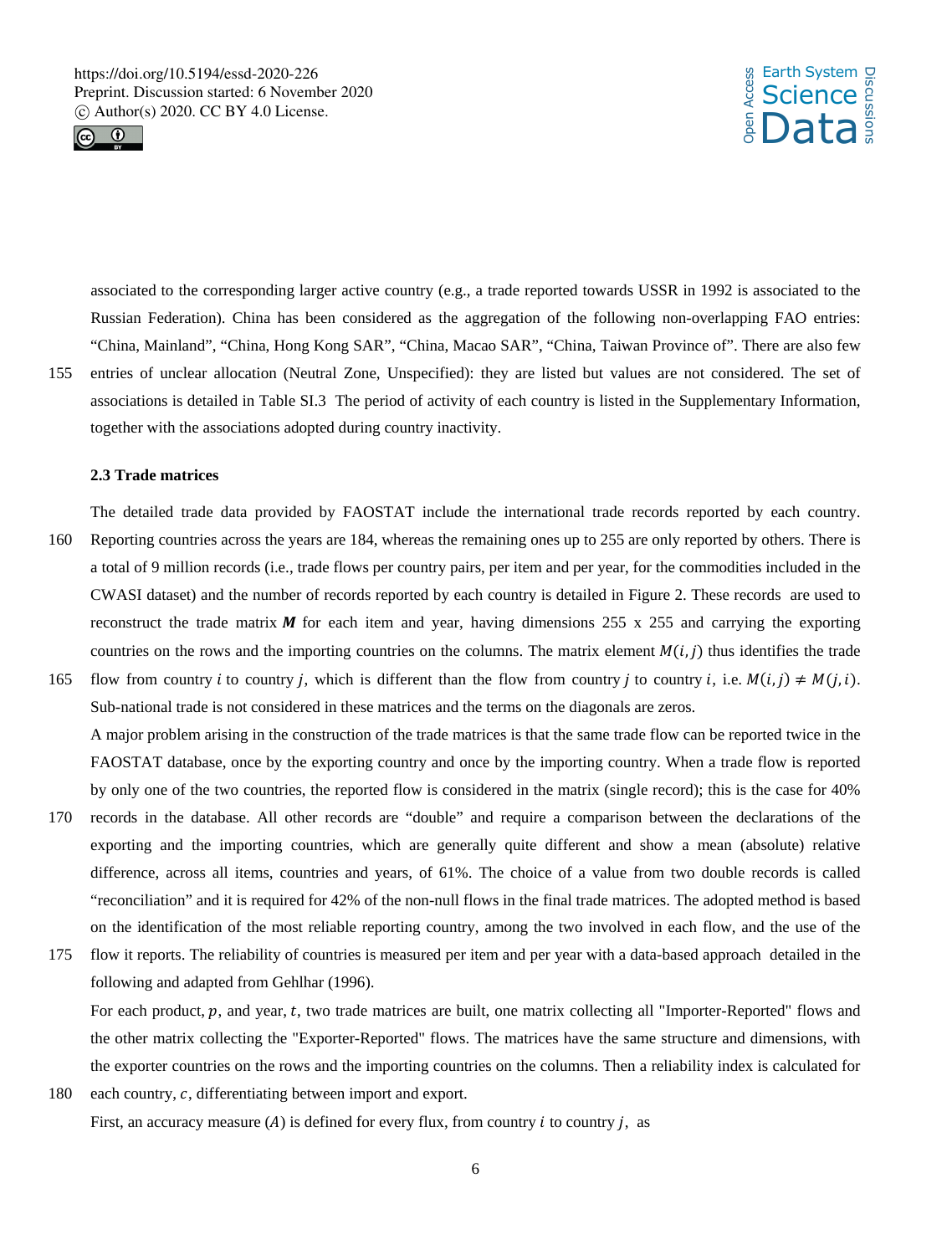



associated to the corresponding larger active country (e.g., a trade reported towards USSR in 1992 is associated to the Russian Federation). China has been considered as the aggregation of the following non-overlapping FAO entries: "China, Mainland", "China, Hong Kong SAR", "China, Macao SAR", "China, Taiwan Province of". There are also few 155 entries of unclear allocation (Neutral Zone, Unspecified): they are listed but values are not considered. The set of associations is detailed in Table SI.3 The period of activity of each country is listed in the Supplementary Information, together with the associations adopted during country inactivity.

#### **2.3 Trade matrices**

- The detailed trade data provided by FAOSTAT include the international trade records reported by each country. 160 Reporting countries across the years are 184, whereas the remaining ones up to 255 are only reported by others. There is a total of 9 million records (i.e., trade flows per country pairs, per item and per year, for the commodities included in the CWASI dataset) and the number of records reported by each country is detailed in Figure 2. These records are used to reconstruct the trade matrix  $M$  for each item and year, having dimensions 255 x 255 and carrying the exporting countries on the rows and the importing countries on the columns. The matrix element  $M(i, j)$  thus identifies the trade
- 165 flow from country *i* to country *j*, which is different than the flow from country *j* to country *i*, i.e.  $M(i, j) \neq M(j, i)$ . Sub-national trade is not considered in these matrices and the terms on the diagonals are zeros. A major problem arising in the construction of the trade matrices is that the same trade flow can be reported twice in the FAOSTAT database, once by the exporting country and once by the importing country. When a trade flow is reported by only one of the two countries, the reported flow is considered in the matrix (single record); this is the case for 40%
- 170 records in the database. All other records are "double" and require a comparison between the declarations of the exporting and the importing countries, which are generally quite different and show a mean (absolute) relative difference, across all items, countries and years, of 61%. The choice of a value from two double records is called "reconciliation" and it is required for 42% of the non-null flows in the final trade matrices. The adopted method is based on the identification of the most reliable reporting country, among the two involved in each flow, and the use of the
- 175 flow it reports. The reliability of countries is measured per item and per year with a data-based approach detailed in the following and adapted from Gehlhar (1996).

For each product,  $p$ , and year,  $t$ , two trade matrices are built, one matrix collecting all "Importer-Reported" flows and the other matrix collecting the "Exporter-Reported" flows. The matrices have the same structure and dimensions, with the exporter countries on the rows and the importing countries on the columns. Then a reliability index is calculated for

180 each country, c, differentiating between import and export. First, an accuracy measure  $(A)$  is defined for every flux, from country *i* to country *j*, as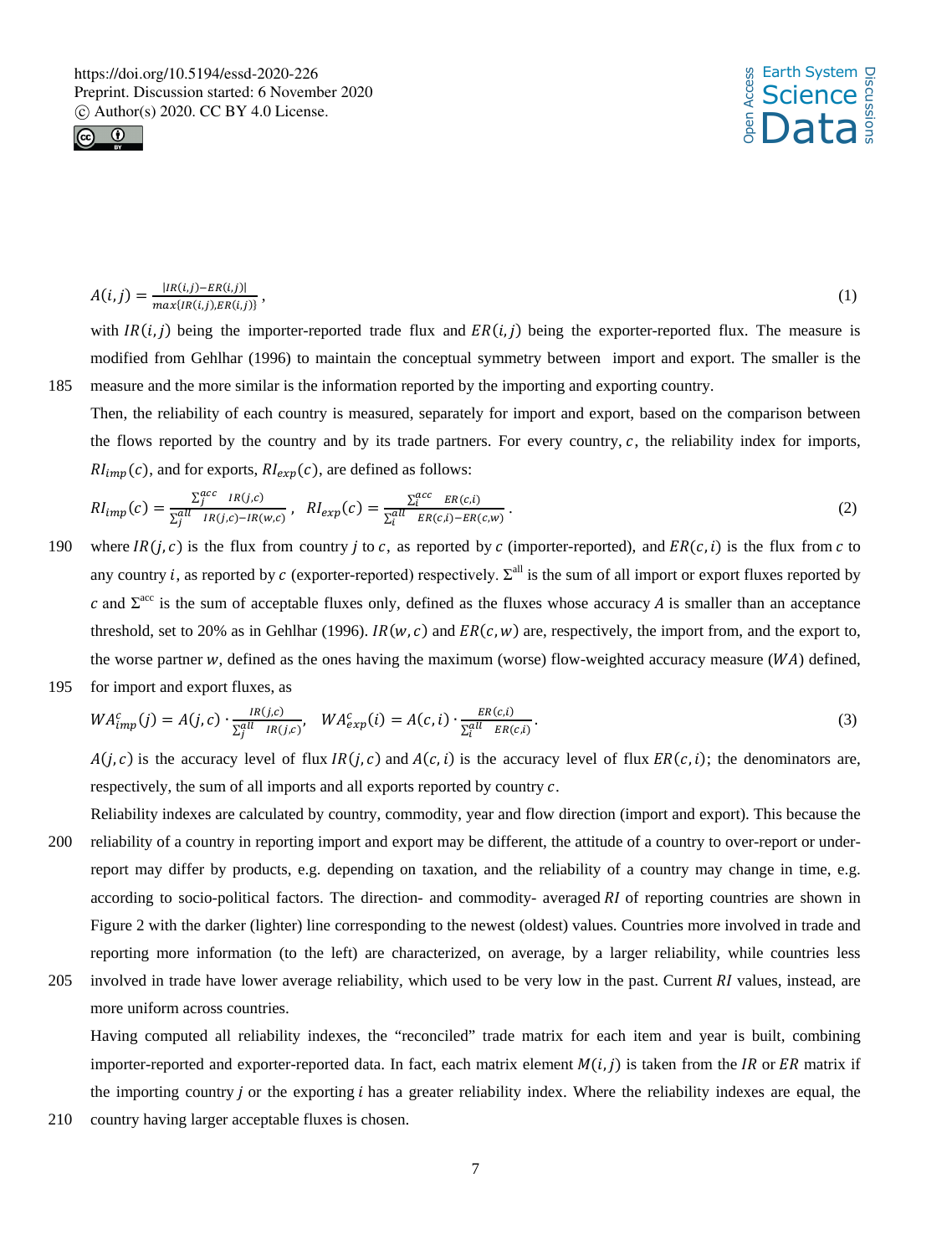

$$
A(i,j) = \frac{|IR(i,j) - ER(i,j)|}{max\{IR(i,j), ER(i,j)\}},
$$
\n
$$
(1)
$$

with  $IR(i, j)$  being the importer-reported trade flux and  $ER(i, j)$  being the exporter-reported flux. The measure is modified from Gehlhar (1996) to maintain the conceptual symmetry between import and export. The smaller is the 185 measure and the more similar is the information reported by the importing and exporting country.

Then, the reliability of each country is measured, separately for import and export, based on the comparison between the flows reported by the country and by its trade partners. For every country,  $c$ , the reliability index for imports,  $RI_{imp}(c)$ , and for exports,  $RI_{exp}(c)$ , are defined as follows:

$$
RI_{imp}(c) = \frac{\sum_{j}^{acc} IR(j,c)}{\sum_{j}^{all} IR(j,c) - IR(w,c)}, \quad RI_{exp}(c) = \frac{\sum_{i}^{acc} ER(c,i)}{\sum_{i}^{all} ER(c,i) - ER(c,w)}.
$$
 (2)

190 where  $IR(j, c)$  is the flux from country *j* to *c*, as reported by *c* (importer-reported), and  $ER(c, i)$  is the flux from *c* to any country *i*, as reported by *c* (exporter-reported) respectively.  $\Sigma^{\text{all}}$  is the sum of all import or export fluxes reported by c and  $\Sigma^{\text{acc}}$  is the sum of acceptable fluxes only, defined as the fluxes whose accuracy A is smaller than an acceptance threshold, set to 20% as in Gehlhar (1996).  $IR(w, c)$  and  $ER(c, w)$  are, respectively, the import from, and the export to, the worse partner w, defined as the ones having the maximum (worse) flow-weighted accuracy measure  $(WA)$  defined, 195 for import and export fluxes, as

$$
WA_{imp}^{c}(j) = A(j,c) \cdot \frac{IR(j,c)}{\sum_{j}^{all} IR(j,c)}, \quad WA_{exp}^{c}(i) = A(c,i) \cdot \frac{ER(c,i)}{\sum_{i}^{all} ER(c,i)}.
$$
 (3)

 $A(j, c)$  is the accuracy level of flux  $IR(j, c)$  and  $A(c, i)$  is the accuracy level of flux  $ER(c, i)$ ; the denominators are, respectively, the sum of all imports and all exports reported by country  $c$ .

Reliability indexes are calculated by country, commodity, year and flow direction (import and export). This because the 200 reliability of a country in reporting import and export may be different, the attitude of a country to over-report or under-

- report may differ by products, e.g. depending on taxation, and the reliability of a country may change in time, e.g. according to socio-political factors. The direction- and commodity- averaged  $RI$  of reporting countries are shown in Figure 2 with the darker (lighter) line corresponding to the newest (oldest) values. Countries more involved in trade and reporting more information (to the left) are characterized, on average, by a larger reliability, while countries less
- 205 involved in trade have lower average reliability, which used to be very low in the past. Current  $\overline{RI}$  values, instead, are more uniform across countries.

Having computed all reliability indexes, the "reconciled" trade matrix for each item and year is built, combining importer-reported and exporter-reported data. In fact, each matrix element  $M(i, j)$  is taken from the *IR* or *ER* matrix if the importing country  $j$  or the exporting  $i$  has a greater reliability index. Where the reliability indexes are equal, the

210 country having larger acceptable fluxes is chosen.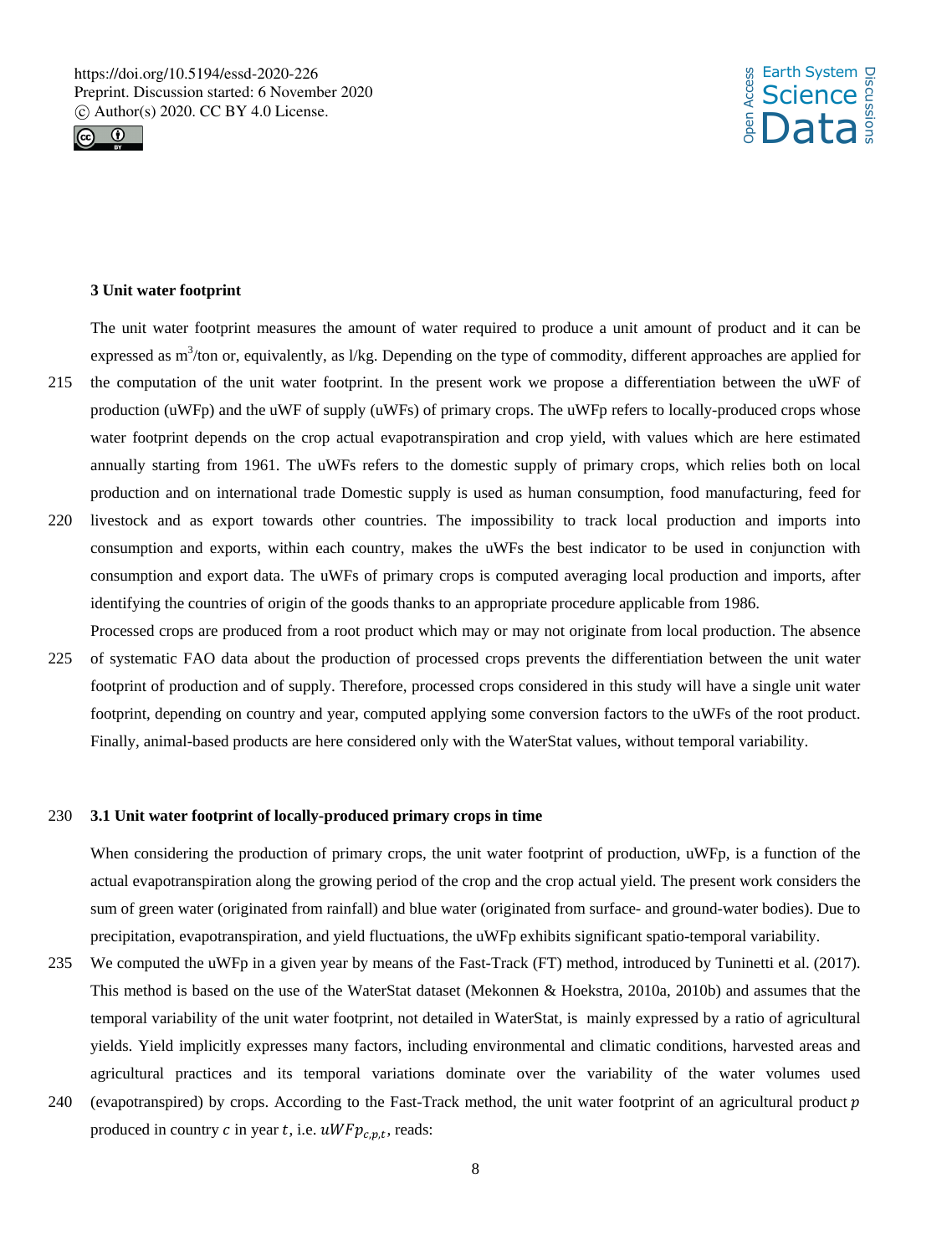



# **3 Unit water footprint**

The unit water footprint measures the amount of water required to produce a unit amount of product and it can be expressed as m<sup>3</sup>/ton or, equivalently, as l/kg. Depending on the type of commodity, different approaches are applied for 215 the computation of the unit water footprint. In the present work we propose a differentiation between the uWF of production (uWFp) and the uWF of supply (uWFs) of primary crops. The uWFp refers to locally-produced crops whose

- water footprint depends on the crop actual evapotranspiration and crop yield, with values which are here estimated annually starting from 1961. The uWFs refers to the domestic supply of primary crops, which relies both on local production and on international trade Domestic supply is used as human consumption, food manufacturing, feed for
- 220 livestock and as export towards other countries. The impossibility to track local production and imports into consumption and exports, within each country, makes the uWFs the best indicator to be used in conjunction with consumption and export data. The uWFs of primary crops is computed averaging local production and imports, after identifying the countries of origin of the goods thanks to an appropriate procedure applicable from 1986.
- Processed crops are produced from a root product which may or may not originate from local production. The absence 225 of systematic FAO data about the production of processed crops prevents the differentiation between the unit water footprint of production and of supply. Therefore, processed crops considered in this study will have a single unit water footprint, depending on country and year, computed applying some conversion factors to the uWFs of the root product. Finally, animal-based products are here considered only with the WaterStat values, without temporal variability.

# 230 **3.1 Unit water footprint of locally-produced primary crops in time**

When considering the production of primary crops, the unit water footprint of production, uWFp, is a function of the actual evapotranspiration along the growing period of the crop and the crop actual yield. The present work considers the sum of green water (originated from rainfall) and blue water (originated from surface- and ground-water bodies). Due to precipitation, evapotranspiration, and yield fluctuations, the uWFp exhibits significant spatio-temporal variability.

- 235 We computed the uWFp in a given year by means of the Fast-Track (FT) method, introduced by Tuninetti et al. (2017). This method is based on the use of the WaterStat dataset (Mekonnen & Hoekstra, 2010a, 2010b) and assumes that the temporal variability of the unit water footprint, not detailed in WaterStat, is mainly expressed by a ratio of agricultural yields. Yield implicitly expresses many factors, including environmental and climatic conditions, harvested areas and agricultural practices and its temporal variations dominate over the variability of the water volumes used
- 240 (evapotranspired) by crops. According to the Fast-Track method, the unit water footprint of an agricultural product  $p$ produced in country  $c$  in year  $t$ , i.e.  $uWFp_{c,p,t}$ , reads: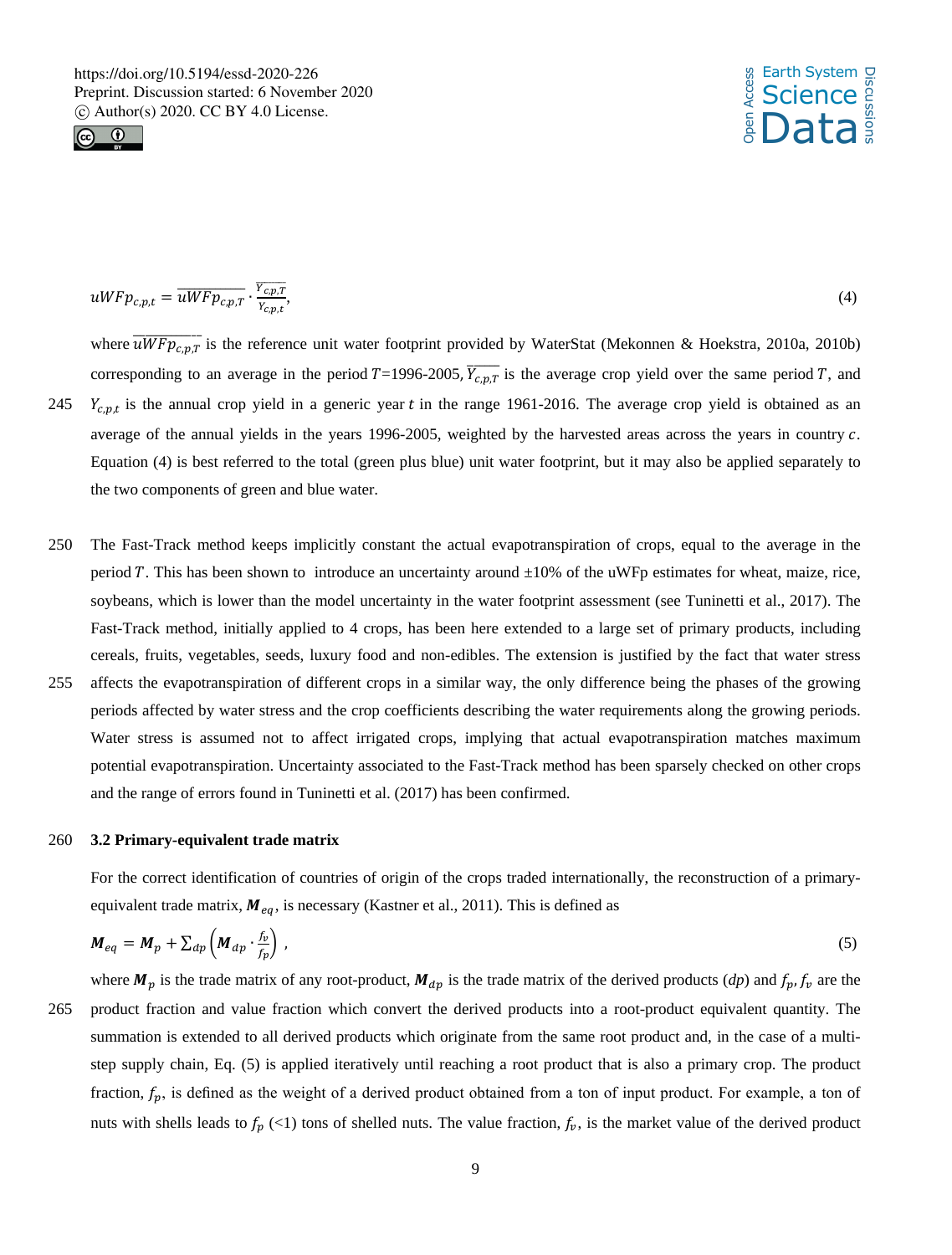



$$
uW F p_{c,p,t} = \overline{uW F p_{c,p,T}} \cdot \frac{Y_{c,p,T}}{Y_{c,p,t}},\tag{4}
$$

where  $\overline{uW F p_{c,p,T}}$  is the reference unit water footprint provided by WaterStat (Mekonnen & Hoekstra, 2010a, 2010b) corresponding to an average in the period  $T=1996-2005$ ,  $\overline{Y_{c,p,T}}$  is the average crop yield over the same period T, and 245  $Y_{c,p,t}$  is the annual crop yield in a generic year t in the range 1961-2016. The average crop yield is obtained as an average of the annual yields in the years 1996-2005, weighted by the harvested areas across the years in country  $c$ . Equation (4) is best referred to the total (green plus blue) unit water footprint, but it may also be applied separately to the two components of green and blue water.

- 250 The Fast-Track method keeps implicitly constant the actual evapotranspiration of crops, equal to the average in the period T. This has been shown to introduce an uncertainty around  $\pm 10\%$  of the uWFp estimates for wheat, maize, rice, soybeans, which is lower than the model uncertainty in the water footprint assessment (see Tuninetti et al., 2017). The Fast-Track method, initially applied to 4 crops, has been here extended to a large set of primary products, including cereals, fruits, vegetables, seeds, luxury food and non-edibles. The extension is justified by the fact that water stress 255 affects the evapotranspiration of different crops in a similar way, the only difference being the phases of the growing
- periods affected by water stress and the crop coefficients describing the water requirements along the growing periods. Water stress is assumed not to affect irrigated crops, implying that actual evapotranspiration matches maximum potential evapotranspiration. Uncertainty associated to the Fast-Track method has been sparsely checked on other crops and the range of errors found in Tuninetti et al. (2017) has been confirmed.

# 260 **3.2 Primary-equivalent trade matrix**

For the correct identification of countries of origin of the crops traded internationally, the reconstruction of a primaryequivalent trade matrix,  $M_{eq}$ , is necessary (Kastner et al., 2011). This is defined as

$$
\mathbf{M}_{eq} = \mathbf{M}_p + \sum_{dp} \left( \mathbf{M}_{dp} \cdot \frac{f_v}{f_p} \right) \,, \tag{5}
$$

where  $M_p$  is the trade matrix of any root-product,  $M_{dp}$  is the trade matrix of the derived products (*dp*) and  $f_p$ ,  $f_v$  are the 265 product fraction and value fraction which convert the derived products into a root-product equivalent quantity. The summation is extended to all derived products which originate from the same root product and, in the case of a multistep supply chain, Eq. (5) is applied iteratively until reaching a root product that is also a primary crop. The product fraction,  $f_p$ , is defined as the weight of a derived product obtained from a ton of input product. For example, a ton of nuts with shells leads to  $f_p$  (<1) tons of shelled nuts. The value fraction,  $f_v$ , is the market value of the derived product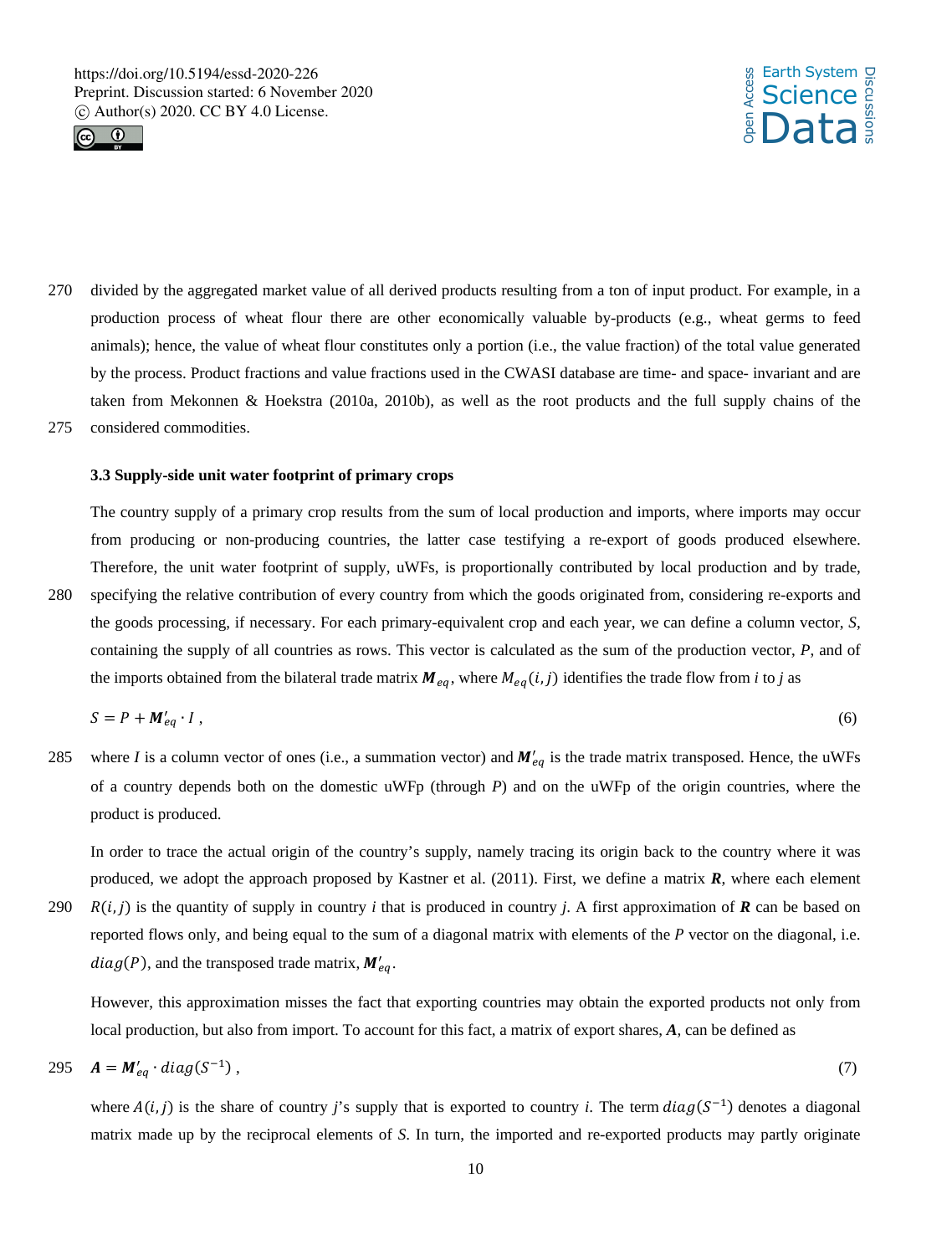



270 divided by the aggregated market value of all derived products resulting from a ton of input product. For example, in a production process of wheat flour there are other economically valuable by-products (e.g., wheat germs to feed animals); hence, the value of wheat flour constitutes only a portion (i.e., the value fraction) of the total value generated by the process. Product fractions and value fractions used in the CWASI database are time- and space- invariant and are taken from Mekonnen & Hoekstra (2010a, 2010b), as well as the root products and the full supply chains of the 275 considered commodities.

# **3.3 Supply-side unit water footprint of primary crops**

The country supply of a primary crop results from the sum of local production and imports, where imports may occur from producing or non-producing countries, the latter case testifying a re-export of goods produced elsewhere. Therefore, the unit water footprint of supply, uWFs, is proportionally contributed by local production and by trade, 280 specifying the relative contribution of every country from which the goods originated from, considering re-exports and the goods processing, if necessary. For each primary-equivalent crop and each year, we can define a column vector, *S*, containing the supply of all countries as rows. This vector is calculated as the sum of the production vector, *P*, and of the imports obtained from the bilateral trade matrix  $M_{eq}$ , where  $M_{eq}(i,j)$  identifies the trade flow from *i* to *j* as

$$
S = P + M'_{eq} \cdot I \tag{6}
$$

285 where *I* is a column vector of ones (i.e., a summation vector) and  $M'_{eq}$  is the trade matrix transposed. Hence, the uWFs of a country depends both on the domestic uWFp (through *P*) and on the uWFp of the origin countries, where the product is produced.

In order to trace the actual origin of the country's supply, namely tracing its origin back to the country where it was produced, we adopt the approach proposed by Kastner et al. (2011). First, we define a matrix *R*, where each element

290  $R(i, j)$  is the quantity of supply in country *i* that is produced in country *j*. A first approximation of **R** can be based on reported flows only, and being equal to the sum of a diagonal matrix with elements of the  $P$  vector on the diagonal, i.e.  $diag(P)$ , and the transposed trade matrix,  $M'_{eq}$ .

However, this approximation misses the fact that exporting countries may obtain the exported products not only from local production, but also from import. To account for this fact, a matrix of export shares, *A*, can be defined as

$$
295 \quad \mathbf{A} = \mathbf{M}_{eq}^{\prime} \cdot \text{diag}(\mathbf{S}^{-1}), \tag{7}
$$

where  $A(i, j)$  is the share of country *j*'s supply that is exported to country *i*. The term  $diag(S^{-1})$  denotes a diagonal matrix made up by the reciprocal elements of *S*. In turn, the imported and re-exported products may partly originate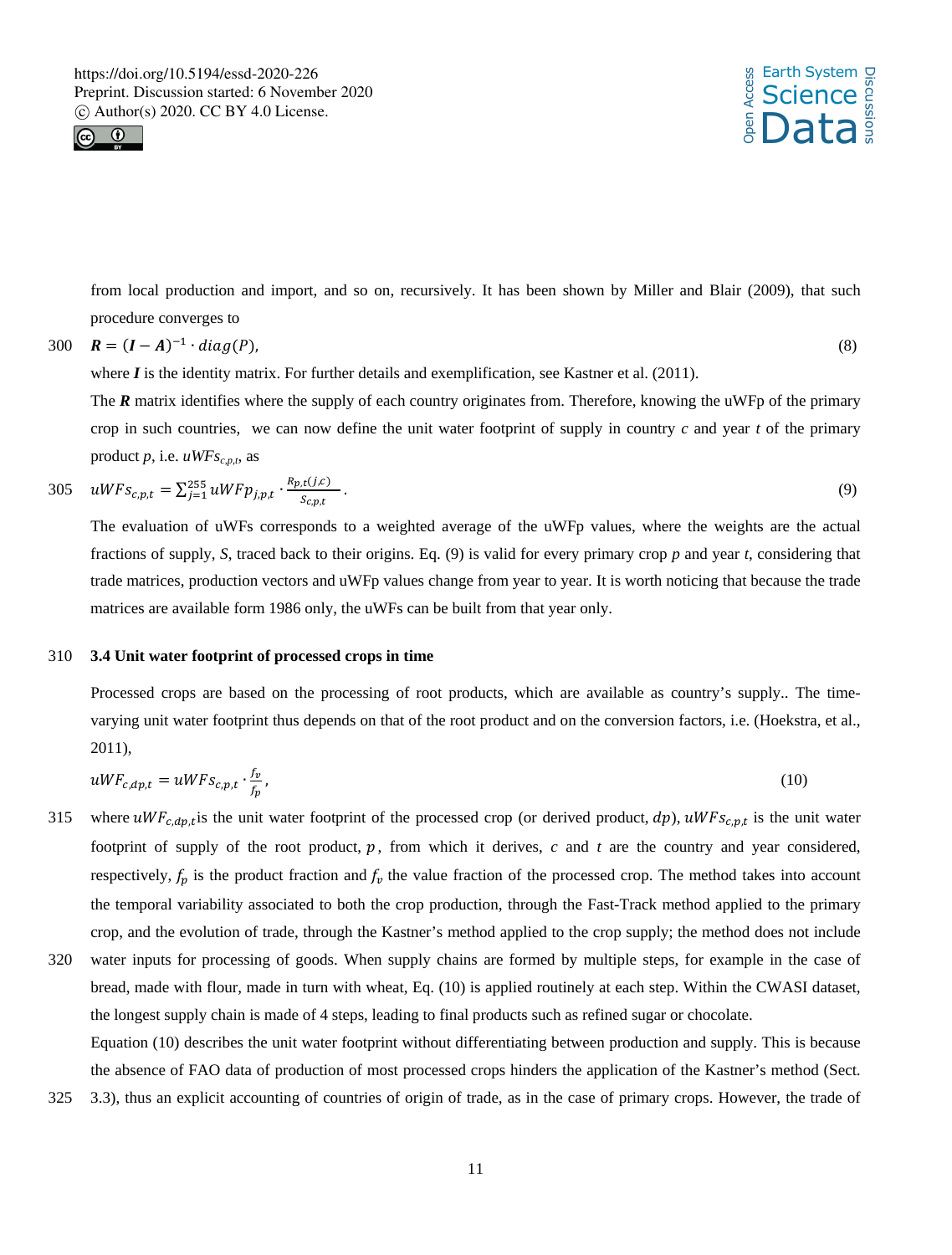



from local production and import, and so on, recursively. It has been shown by Miller and Blair (2009), that such procedure converges to

$$
300 \quad \mathbf{R} = (\mathbf{I} - \mathbf{A})^{-1} \cdot diag(\mathbf{P}), \tag{8}
$$

where  $\boldsymbol{I}$  is the identity matrix. For further details and exemplification, see Kastner et al. (2011).

The *R* matrix identifies where the supply of each country originates from. Therefore, knowing the uWFp of the primary crop in such countries, we can now define the unit water footprint of supply in country *c* and year *t* of the primary product  $p$ , i.e.  $uWFs_{c,p,t}$ , as

305 
$$
uWFs_{c,p,t} = \sum_{j=1}^{255} uWFp_{j,p,t} \cdot \frac{R_{p,t}(j,c)}{s_{c,p,t}}.
$$
 (9)

The evaluation of uWFs corresponds to a weighted average of the uWFp values, where the weights are the actual fractions of supply, *S*, traced back to their origins. Eq. (9) is valid for every primary crop *p* and year *t*, considering that trade matrices, production vectors and uWFp values change from year to year. It is worth noticing that because the trade matrices are available form 1986 only, the uWFs can be built from that year only.

## 310 **3.4 Unit water footprint of processed crops in time**

Processed crops are based on the processing of root products, which are available as country's supply.. The timevarying unit water footprint thus depends on that of the root product and on the conversion factors, i.e. (Hoekstra, et al., 2011),

$$
uWF_{c,dp,t} = uWF_{c,p,t} \cdot \frac{f_p}{f_p},\tag{10}
$$

- 315 where  $uWF_{c,dp,t}$  is the unit water footprint of the processed crop (or derived product,  $dp$ ),  $uWF_{c,p,t}$  is the unit water footprint of supply of the root product,  $p$ , from which it derives,  $c$  and  $t$  are the country and year considered, respectively,  $f_p$  is the product fraction and  $f_p$  the value fraction of the processed crop. The method takes into account the temporal variability associated to both the crop production, through the Fast-Track method applied to the primary crop, and the evolution of trade, through the Kastner's method applied to the crop supply; the method does not include
- 320 water inputs for processing of goods. When supply chains are formed by multiple steps, for example in the case of bread, made with flour, made in turn with wheat, Eq. (10) is applied routinely at each step. Within the CWASI dataset, the longest supply chain is made of 4 steps, leading to final products such as refined sugar or chocolate. Equation (10) describes the unit water footprint without differentiating between production and supply. This is because

the absence of FAO data of production of most processed crops hinders the application of the Kastner's method (Sect. 325 3.3), thus an explicit accounting of countries of origin of trade, as in the case of primary crops. However, the trade of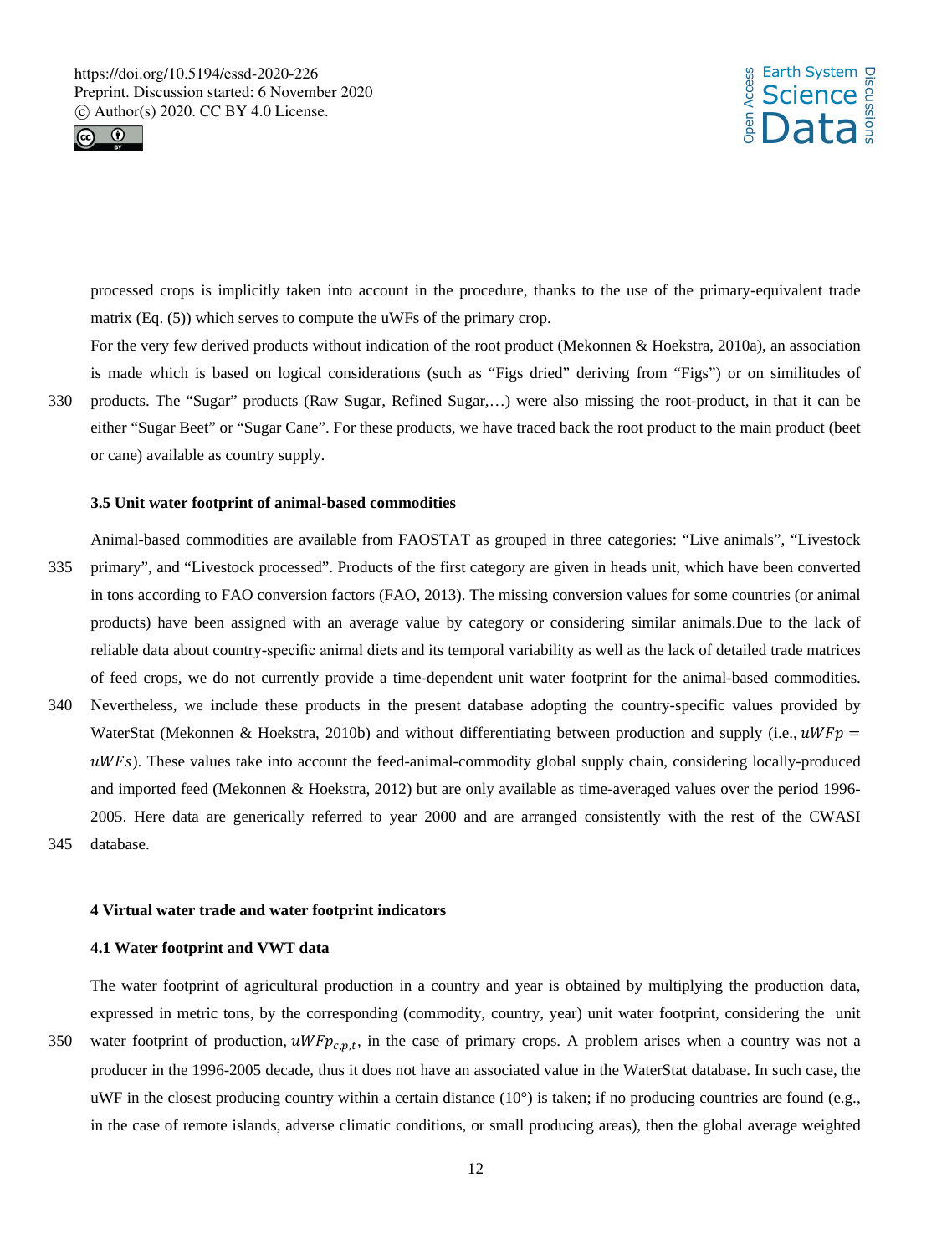



processed crops is implicitly taken into account in the procedure, thanks to the use of the primary-equivalent trade matrix (Eq. (5)) which serves to compute the uWFs of the primary crop.

For the very few derived products without indication of the root product (Mekonnen & Hoekstra, 2010a), an association is made which is based on logical considerations (such as "Figs dried" deriving from "Figs") or on similitudes of

330 products. The "Sugar" products (Raw Sugar, Refined Sugar,…) were also missing the root-product, in that it can be either "Sugar Beet" or "Sugar Cane". For these products, we have traced back the root product to the main product (beet or cane) available as country supply.

# **3.5 Unit water footprint of animal-based commodities**

Animal-based commodities are available from FAOSTAT as grouped in three categories: "Live animals", "Livestock 335 primary", and "Livestock processed". Products of the first category are given in heads unit, which have been converted in tons according to FAO conversion factors (FAO, 2013). The missing conversion values for some countries (or animal products) have been assigned with an average value by category or considering similar animals.Due to the lack of reliable data about country-specific animal diets and its temporal variability as well as the lack of detailed trade matrices of feed crops, we do not currently provide a time-dependent unit water footprint for the animal-based commodities. 340 Nevertheless, we include these products in the present database adopting the country-specific values provided by WaterStat (Mekonnen & Hoekstra, 2010b) and without differentiating between production and supply (i.e.,  $uW F p =$  $uWFS$ ). These values take into account the feed-animal-commodity global supply chain, considering locally-produced and imported feed (Mekonnen & Hoekstra, 2012) but are only available as time-averaged values over the period 1996- 2005. Here data are generically referred to year 2000 and are arranged consistently with the rest of the CWASI 345 database.

#### **4 Virtual water trade and water footprint indicators**

#### **4.1 Water footprint and VWT data**

The water footprint of agricultural production in a country and year is obtained by multiplying the production data, expressed in metric tons, by the corresponding (commodity, country, year) unit water footprint, considering the unit 350 water footprint of production,  $uW F p_{c,p,t}$ , in the case of primary crops. A problem arises when a country was not a producer in the 1996-2005 decade, thus it does not have an associated value in the WaterStat database. In such case, the uWF in the closest producing country within a certain distance (10°) is taken; if no producing countries are found (e.g., in the case of remote islands, adverse climatic conditions, or small producing areas), then the global average weighted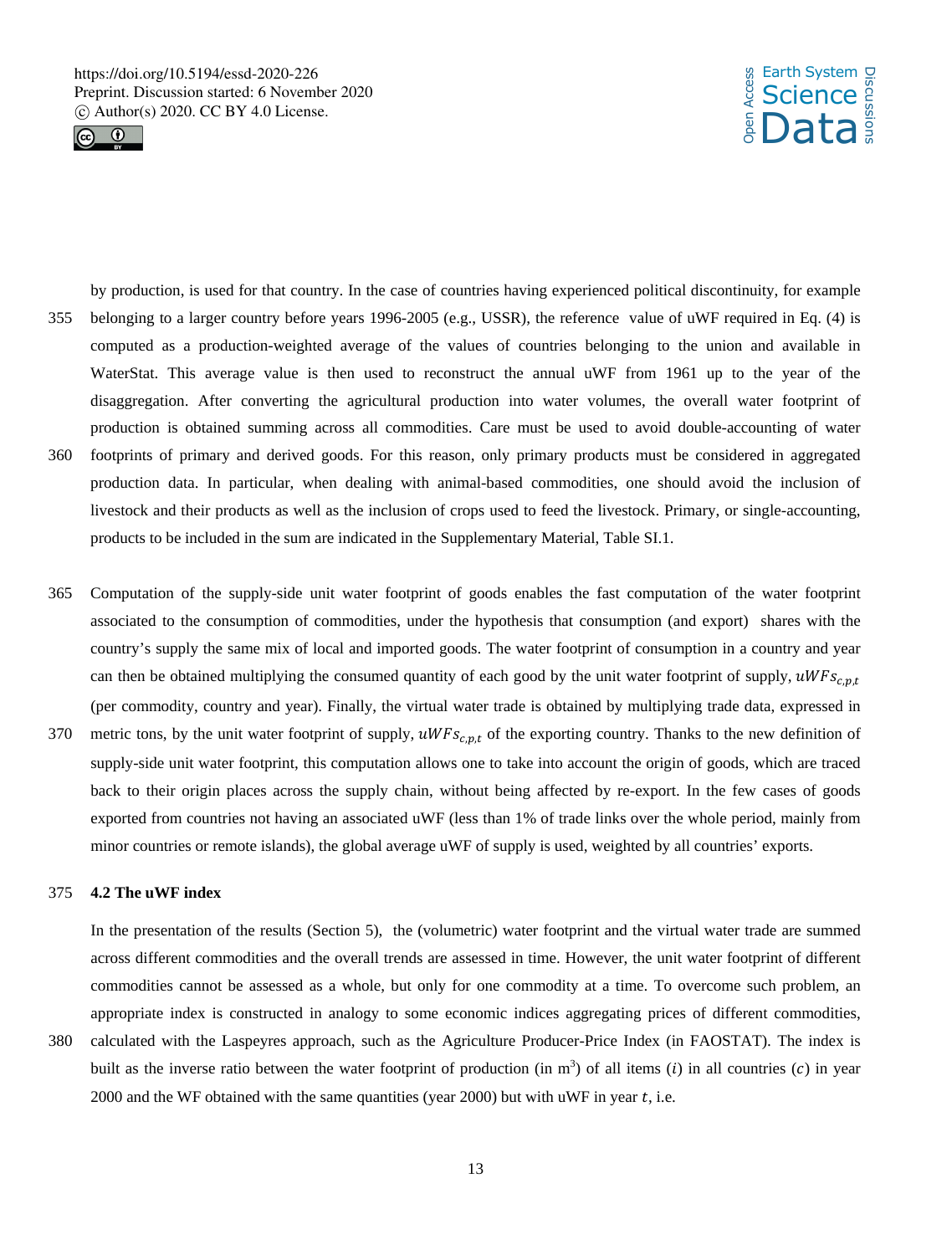



- by production, is used for that country. In the case of countries having experienced political discontinuity, for example 355 belonging to a larger country before years 1996-2005 (e.g., USSR), the reference value of uWF required in Eq. (4) is computed as a production-weighted average of the values of countries belonging to the union and available in WaterStat. This average value is then used to reconstruct the annual uWF from 1961 up to the year of the disaggregation. After converting the agricultural production into water volumes, the overall water footprint of production is obtained summing across all commodities. Care must be used to avoid double-accounting of water 360 footprints of primary and derived goods. For this reason, only primary products must be considered in aggregated production data. In particular, when dealing with animal-based commodities, one should avoid the inclusion of livestock and their products as well as the inclusion of crops used to feed the livestock. Primary, or single-accounting, products to be included in the sum are indicated in the Supplementary Material, Table SI.1.
- 365 Computation of the supply-side unit water footprint of goods enables the fast computation of the water footprint associated to the consumption of commodities, under the hypothesis that consumption (and export) shares with the country's supply the same mix of local and imported goods. The water footprint of consumption in a country and year can then be obtained multiplying the consumed quantity of each good by the unit water footprint of supply,  $uWFS_{c,p,t}$ (per commodity, country and year). Finally, the virtual water trade is obtained by multiplying trade data, expressed in 370 metric tons, by the unit water footprint of supply,  $uWFs_{c,p,t}$  of the exporting country. Thanks to the new definition of supply-side unit water footprint, this computation allows one to take into account the origin of goods, which are traced
	- back to their origin places across the supply chain, without being affected by re-export. In the few cases of goods exported from countries not having an associated uWF (less than 1% of trade links over the whole period, mainly from minor countries or remote islands), the global average uWF of supply is used, weighted by all countries' exports.

# 375 **4.2 The uWF index**

In the presentation of the results (Section 5), the (volumetric) water footprint and the virtual water trade are summed across different commodities and the overall trends are assessed in time. However, the unit water footprint of different commodities cannot be assessed as a whole, but only for one commodity at a time. To overcome such problem, an appropriate index is constructed in analogy to some economic indices aggregating prices of different commodities,

380 calculated with the Laspeyres approach, such as the Agriculture Producer-Price Index (in FAOSTAT). The index is built as the inverse ratio between the water footprint of production (in  $m^3$ ) of all items (i) in all countries (c) in year 2000 and the WF obtained with the same quantities (year 2000) but with uWF in year  $t$ , i.e.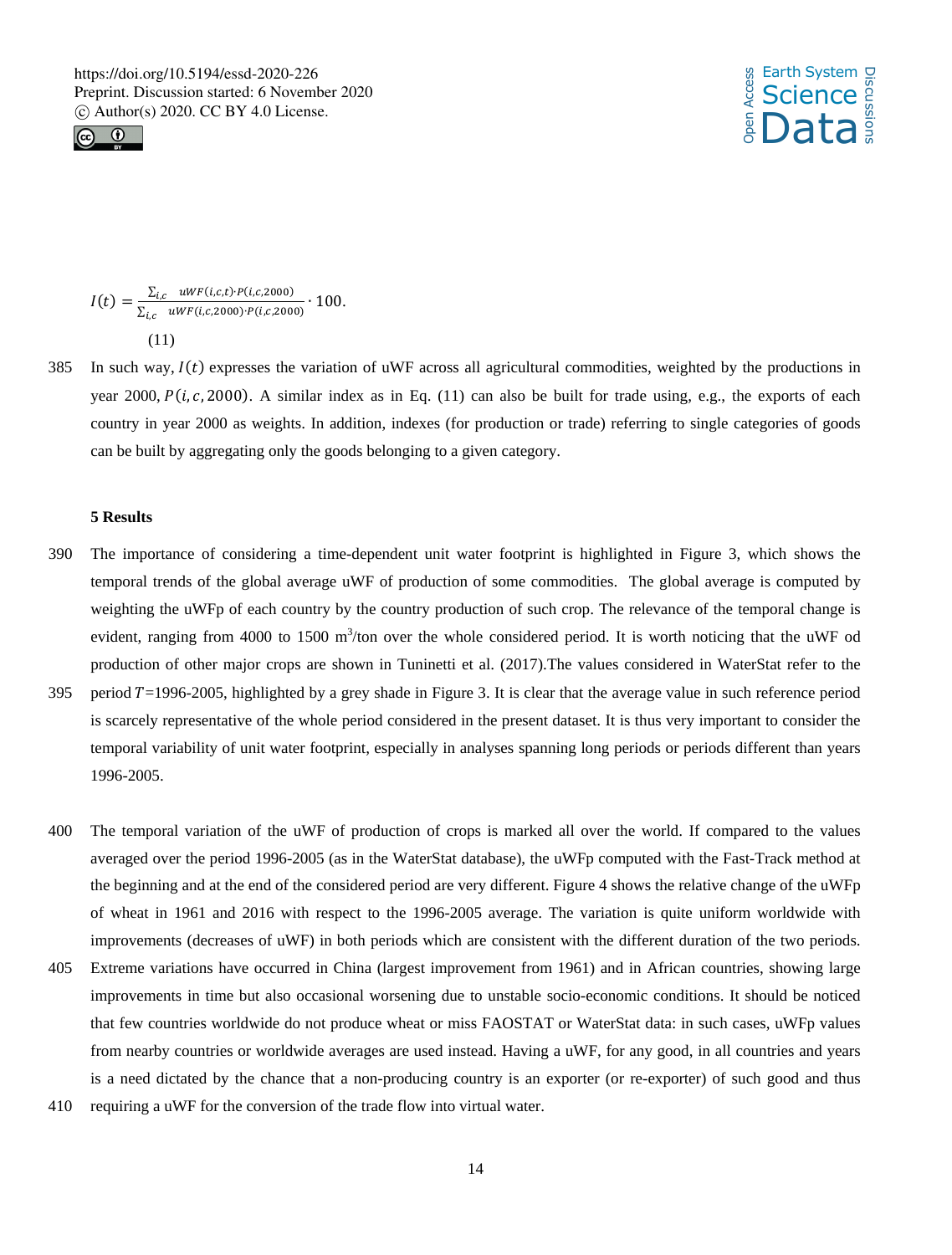



$$
I(t) = \frac{\sum_{i,c} uWF(i,c,t) \cdot P(i,c,2000)}{\sum_{i,c} uWF(i,c,2000) \cdot P(i,c,2000)} \cdot 100.
$$
\n(11)

385 In such way,  $I(t)$  expresses the variation of uWF across all agricultural commodities, weighted by the productions in year 2000,  $P(i, c, 2000)$ . A similar index as in Eq. (11) can also be built for trade using, e.g., the exports of each country in year 2000 as weights. In addition, indexes (for production or trade) referring to single categories of goods can be built by aggregating only the goods belonging to a given category.

# **5 Results**

- 390 The importance of considering a time-dependent unit water footprint is highlighted in Figure 3, which shows the temporal trends of the global average uWF of production of some commodities. The global average is computed by weighting the uWFp of each country by the country production of such crop. The relevance of the temporal change is evident, ranging from 4000 to 1500 m<sup>3</sup>/ton over the whole considered period. It is worth noticing that the uWF od production of other major crops are shown in Tuninetti et al. (2017).The values considered in WaterStat refer to the 395 period  $T=1996-2005$ , highlighted by a grey shade in Figure 3. It is clear that the average value in such reference period
- is scarcely representative of the whole period considered in the present dataset. It is thus very important to consider the temporal variability of unit water footprint, especially in analyses spanning long periods or periods different than years 1996-2005.
- 400 The temporal variation of the uWF of production of crops is marked all over the world. If compared to the values averaged over the period 1996-2005 (as in the WaterStat database), the uWFp computed with the Fast-Track method at the beginning and at the end of the considered period are very different. Figure 4 shows the relative change of the uWFp of wheat in 1961 and 2016 with respect to the 1996-2005 average. The variation is quite uniform worldwide with improvements (decreases of uWF) in both periods which are consistent with the different duration of the two periods.
- 405 Extreme variations have occurred in China (largest improvement from 1961) and in African countries, showing large improvements in time but also occasional worsening due to unstable socio-economic conditions. It should be noticed that few countries worldwide do not produce wheat or miss FAOSTAT or WaterStat data: in such cases, uWFp values from nearby countries or worldwide averages are used instead. Having a uWF, for any good, in all countries and years is a need dictated by the chance that a non-producing country is an exporter (or re-exporter) of such good and thus
- 410 requiring a uWF for the conversion of the trade flow into virtual water.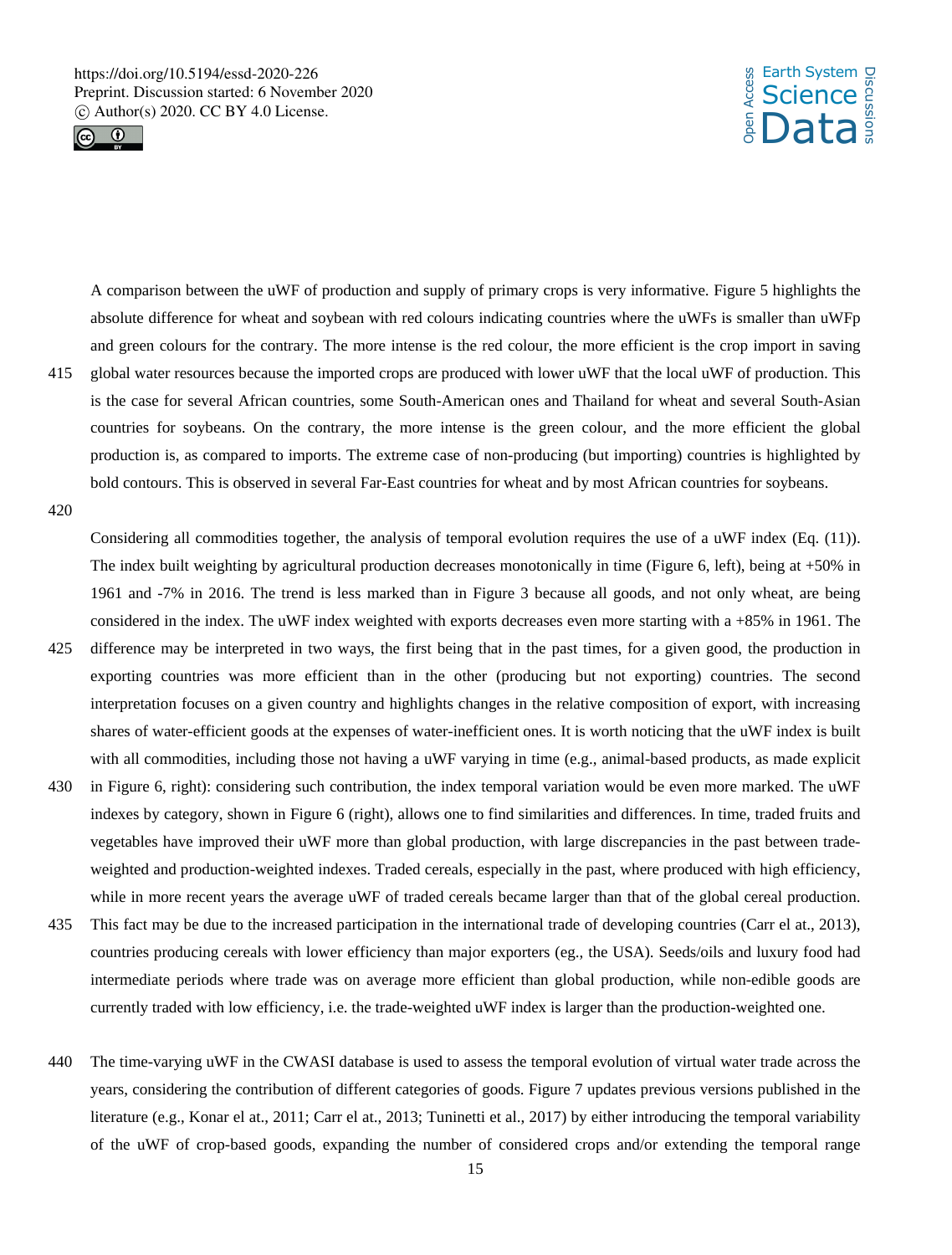



A comparison between the uWF of production and supply of primary crops is very informative. Figure 5 highlights the absolute difference for wheat and soybean with red colours indicating countries where the uWFs is smaller than uWFp and green colours for the contrary. The more intense is the red colour, the more efficient is the crop import in saving 415 global water resources because the imported crops are produced with lower uWF that the local uWF of production. This is the case for several African countries, some South-American ones and Thailand for wheat and several South-Asian countries for soybeans. On the contrary, the more intense is the green colour, and the more efficient the global production is, as compared to imports. The extreme case of non-producing (but importing) countries is highlighted by bold contours. This is observed in several Far-East countries for wheat and by most African countries for soybeans.

420

Considering all commodities together, the analysis of temporal evolution requires the use of a uWF index (Eq. (11)). The index built weighting by agricultural production decreases monotonically in time (Figure 6, left), being at +50% in 1961 and -7% in 2016. The trend is less marked than in Figure 3 because all goods, and not only wheat, are being considered in the index. The uWF index weighted with exports decreases even more starting with a +85% in 1961. The

- 425 difference may be interpreted in two ways, the first being that in the past times, for a given good, the production in exporting countries was more efficient than in the other (producing but not exporting) countries. The second interpretation focuses on a given country and highlights changes in the relative composition of export, with increasing shares of water-efficient goods at the expenses of water-inefficient ones. It is worth noticing that the uWF index is built with all commodities, including those not having a uWF varying in time (e.g., animal-based products, as made explicit
- 430 in Figure 6, right): considering such contribution, the index temporal variation would be even more marked. The uWF indexes by category, shown in Figure 6 (right), allows one to find similarities and differences. In time, traded fruits and vegetables have improved their uWF more than global production, with large discrepancies in the past between tradeweighted and production-weighted indexes. Traded cereals, especially in the past, where produced with high efficiency, while in more recent years the average uWF of traded cereals became larger than that of the global cereal production.
- 435 This fact may be due to the increased participation in the international trade of developing countries (Carr el at., 2013), countries producing cereals with lower efficiency than major exporters (eg., the USA). Seeds/oils and luxury food had intermediate periods where trade was on average more efficient than global production, while non-edible goods are currently traded with low efficiency, i.e. the trade-weighted uWF index is larger than the production-weighted one.
- 440 The time-varying uWF in the CWASI database is used to assess the temporal evolution of virtual water trade across the years, considering the contribution of different categories of goods. Figure 7 updates previous versions published in the literature (e.g., Konar el at., 2011; Carr el at., 2013; Tuninetti et al., 2017) by either introducing the temporal variability of the uWF of crop-based goods, expanding the number of considered crops and/or extending the temporal range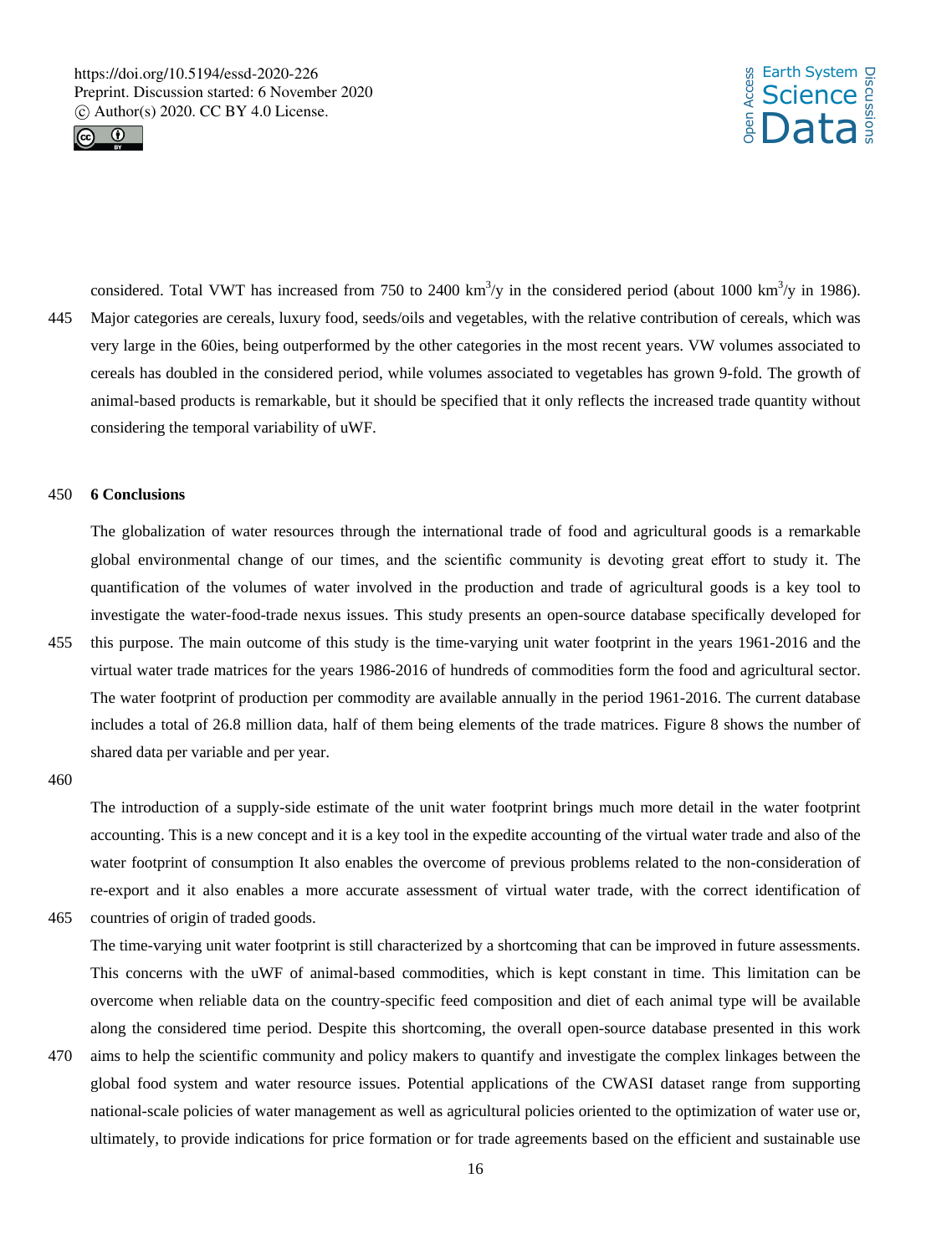



considered. Total VWT has increased from 750 to 2400 km<sup>3</sup>/y in the considered period (about 1000 km<sup>3</sup>/y in 1986). 445 Major categories are cereals, luxury food, seeds/oils and vegetables, with the relative contribution of cereals, which was very large in the 60ies, being outperformed by the other categories in the most recent years. VW volumes associated to cereals has doubled in the considered period, while volumes associated to vegetables has grown 9-fold. The growth of animal-based products is remarkable, but it should be specified that it only reflects the increased trade quantity without considering the temporal variability of uWF.

# 450 **6 Conclusions**

The globalization of water resources through the international trade of food and agricultural goods is a remarkable global environmental change of our times, and the scientific community is devoting great effort to study it. The quantification of the volumes of water involved in the production and trade of agricultural goods is a key tool to investigate the water-food-trade nexus issues. This study presents an open-source database specifically developed for 455 this purpose. The main outcome of this study is the time-varying unit water footprint in the years 1961-2016 and the virtual water trade matrices for the years 1986-2016 of hundreds of commodities form the food and agricultural sector. The water footprint of production per commodity are available annually in the period 1961-2016. The current database includes a total of 26.8 million data, half of them being elements of the trade matrices. Figure 8 shows the number of

The introduction of a supply-side estimate of the unit water footprint brings much more detail in the water footprint accounting. This is a new concept and it is a key tool in the expedite accounting of the virtual water trade and also of the water footprint of consumption It also enables the overcome of previous problems related to the non-consideration of re-export and it also enables a more accurate assessment of virtual water trade, with the correct identification of

465 countries of origin of traded goods.

shared data per variable and per year.

The time-varying unit water footprint is still characterized by a shortcoming that can be improved in future assessments. This concerns with the uWF of animal-based commodities, which is kept constant in time. This limitation can be overcome when reliable data on the country-specific feed composition and diet of each animal type will be available along the considered time period. Despite this shortcoming, the overall open-source database presented in this work

470 aims to help the scientific community and policy makers to quantify and investigate the complex linkages between the global food system and water resource issues. Potential applications of the CWASI dataset range from supporting national-scale policies of water management as well as agricultural policies oriented to the optimization of water use or, ultimately, to provide indications for price formation or for trade agreements based on the efficient and sustainable use

<sup>460</sup>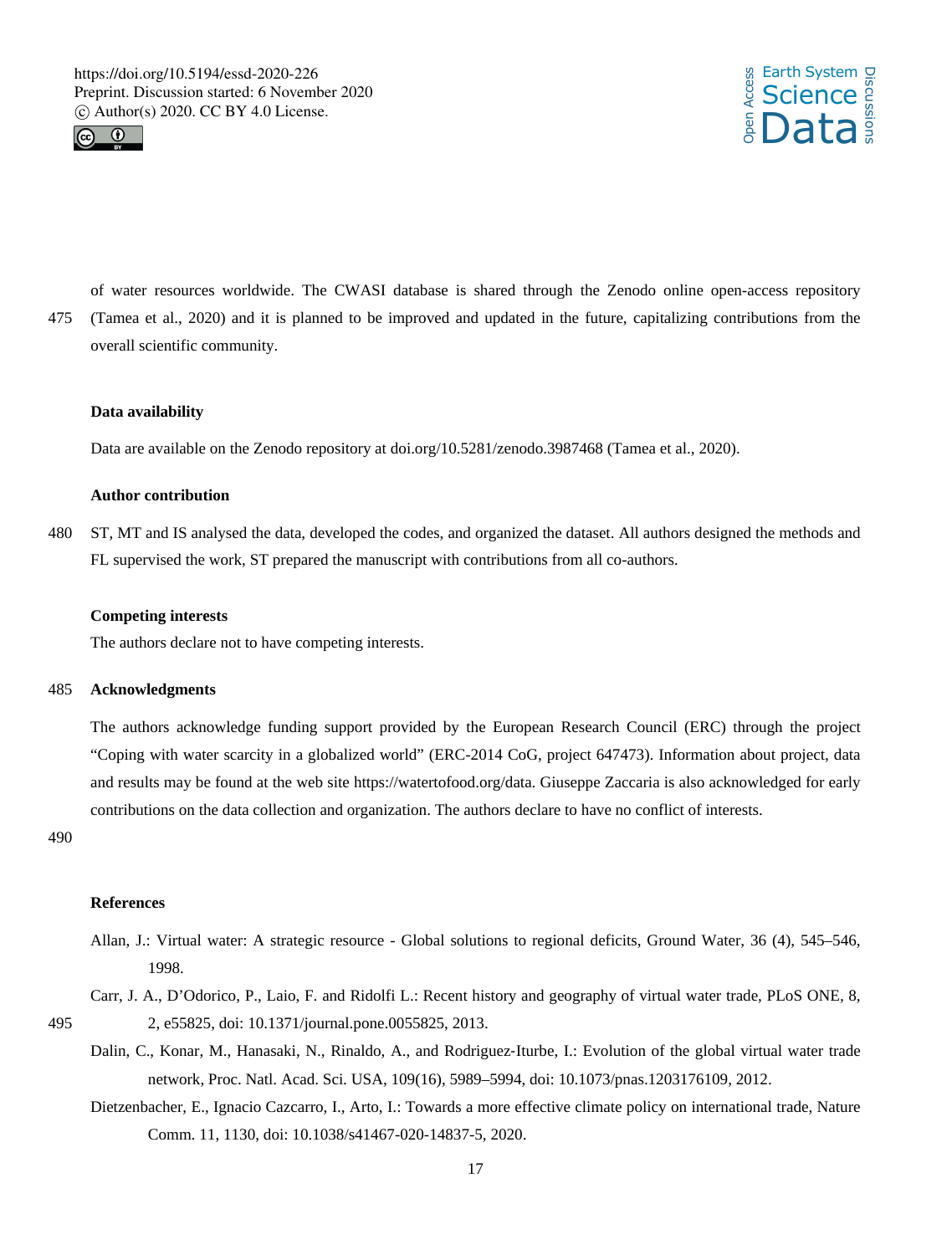



of water resources worldwide. The CWASI database is shared through the Zenodo online open-access repository 475 (Tamea et al., 2020) and it is planned to be improved and updated in the future, capitalizing contributions from the overall scientific community.

## **Data availability**

Data are available on the Zenodo repository at doi.org/10.5281/zenodo.3987468 (Tamea et al., 2020).

# **Author contribution**

480 ST, MT and IS analysed the data, developed the codes, and organized the dataset. All authors designed the methods and FL supervised the work, ST prepared the manuscript with contributions from all co-authors.

# **Competing interests**

The authors declare not to have competing interests.

# 485 **Acknowledgments**

The authors acknowledge funding support provided by the European Research Council (ERC) through the project "Coping with water scarcity in a globalized world" (ERC-2014 CoG, project 647473). Information about project, data and results may be found at the web site https://watertofood.org/data. Giuseppe Zaccaria is also acknowledged for early contributions on the data collection and organization. The authors declare to have no conflict of interests.

490

## **References**

- Allan, J.: Virtual water: A strategic resource Global solutions to regional deficits, Ground Water, 36 (4), 545–546, 1998.
- Carr, J. A., D'Odorico, P., Laio, F. and Ridolfi L.: Recent history and geography of virtual water trade, PLoS ONE, 8, 495 2, e55825, doi: 10.1371/journal.pone.0055825, 2013.
	- Dalin, C., Konar, M., Hanasaki, N., Rinaldo, A., and Rodriguez-Iturbe, I.: Evolution of the global virtual water trade network, Proc. Natl. Acad. Sci. USA, 109(16), 5989–5994, doi: 10.1073/pnas.1203176109, 2012.
	- Dietzenbacher, E., Ignacio Cazcarro, I., Arto, I.: Towards a more effective climate policy on international trade, Nature Comm. 11, 1130, doi: 10.1038/s41467-020-14837-5, 2020.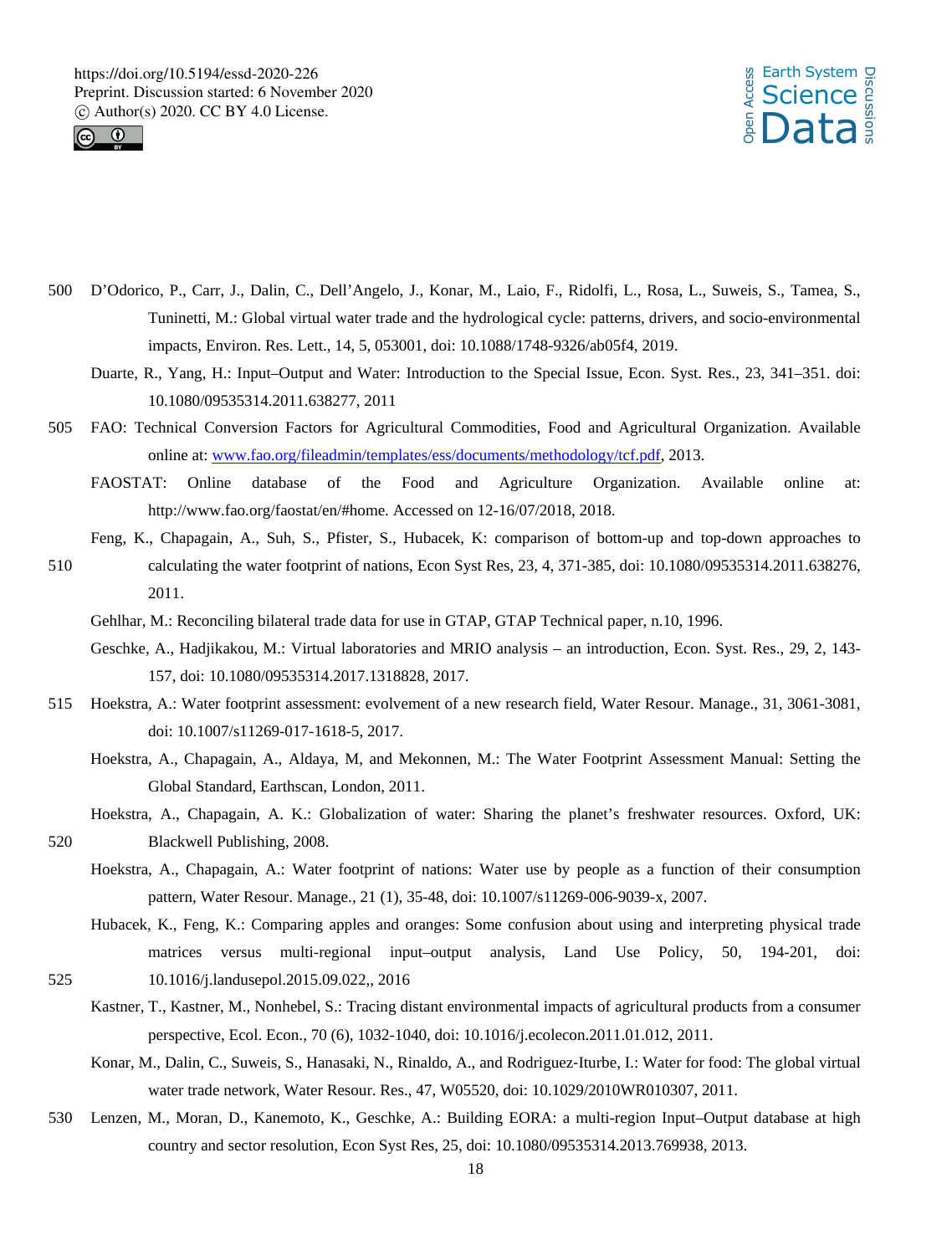



- 500 D'Odorico, P., Carr, J., Dalin, C., Dell'Angelo, J., Konar, M., Laio, F., Ridolfi, L., Rosa, L., Suweis, S., Tamea, S., Tuninetti, M.: Global virtual water trade and the hydrological cycle: patterns, drivers, and socio-environmental impacts, Environ. Res. Lett., 14, 5, 053001, doi: 10.1088/1748-9326/ab05f4, 2019.
	- Duarte, R., Yang, H.: Input–Output and Water: Introduction to the Special Issue, Econ. Syst. Res., 23, 341–351. doi: 10.1080/09535314.2011.638277, 2011
- 505 FAO: Technical Conversion Factors for Agricultural Commodities, Food and Agricultural Organization. Available online at: www.fao.org/fileadmin/templates/ess/documents/methodology/tcf.pdf, 2013.
	- FAOSTAT: Online database of the Food and Agriculture Organization. Available online at: http://www.fao.org/faostat/en/#home. Accessed on 12-16/07/2018, 2018.
- Feng, K., Chapagain, A., Suh, S., Pfister, S., Hubacek, K: comparison of bottom-up and top-down approaches to 510 calculating the water footprint of nations, Econ Syst Res, 23, 4, 371-385, doi: 10.1080/09535314.2011.638276, 2011.

Gehlhar, M.: Reconciling bilateral trade data for use in GTAP, GTAP Technical paper, n.10, 1996.

- Geschke, A., Hadjikakou, M.: Virtual laboratories and MRIO analysis an introduction, Econ. Syst. Res., 29, 2, 143- 157, doi: 10.1080/09535314.2017.1318828, 2017.
- 515 Hoekstra, A.: Water footprint assessment: evolvement of a new research field, Water Resour. Manage., 31, 3061-3081, doi: 10.1007/s11269-017-1618-5, 2017.
	- Hoekstra, A., Chapagain, A., Aldaya, M, and Mekonnen, M.: The Water Footprint Assessment Manual: Setting the Global Standard, Earthscan, London, 2011.
- Hoekstra, A., Chapagain, A. K.: Globalization of water: Sharing the planet's freshwater resources. Oxford, UK: 520 Blackwell Publishing, 2008.
	- Hoekstra, A., Chapagain, A.: Water footprint of nations: Water use by people as a function of their consumption pattern, Water Resour. Manage., 21 (1), 35-48, doi: 10.1007/s11269-006-9039-x, 2007.
- Hubacek, K., Feng, K.: Comparing apples and oranges: Some confusion about using and interpreting physical trade matrices versus multi-regional input–output analysis, Land Use Policy, 50, 194-201, doi: 525 10.1016/j.landusepol.2015.09.022,, 2016
	- Kastner, T., Kastner, M., Nonhebel, S.: Tracing distant environmental impacts of agricultural products from a consumer perspective, Ecol. Econ., 70 (6), 1032-1040, doi: 10.1016/j.ecolecon.2011.01.012, 2011.
	- Konar, M., Dalin, C., Suweis, S., Hanasaki, N., Rinaldo, A., and Rodriguez‐Iturbe, I.: Water for food: The global virtual water trade network, Water Resour. Res., 47, W05520, doi: 10.1029/2010WR010307, 2011.
- 530 Lenzen, M., Moran, D., Kanemoto, K., Geschke, A.: Building EORA: a multi-region Input–Output database at high country and sector resolution, Econ Syst Res, 25, doi: 10.1080/09535314.2013.769938, 2013.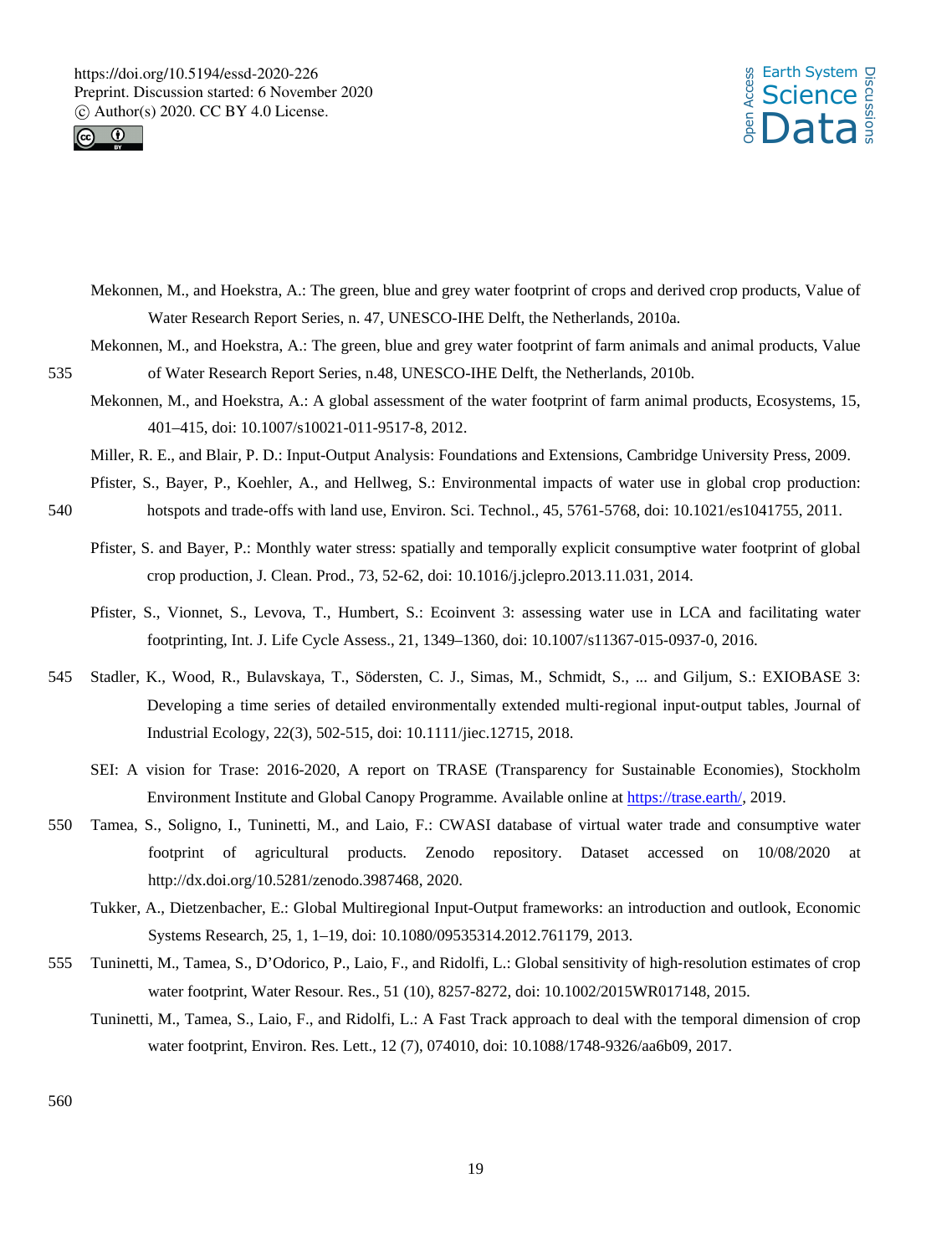



- Mekonnen, M., and Hoekstra, A.: The green, blue and grey water footprint of crops and derived crop products, Value of Water Research Report Series, n. 47, UNESCO-IHE Delft, the Netherlands, 2010a.
- Mekonnen, M., and Hoekstra, A.: The green, blue and grey water footprint of farm animals and animal products, Value 535 of Water Research Report Series, n.48, UNESCO-IHE Delft, the Netherlands, 2010b.
	- Mekonnen, M., and Hoekstra, A.: A global assessment of the water footprint of farm animal products, Ecosystems, 15, 401–415, doi: 10.1007/s10021-011-9517-8, 2012.
	- Miller, R. E., and Blair, P. D.: Input-Output Analysis: Foundations and Extensions, Cambridge University Press, 2009.
- Pfister, S., Bayer, P., Koehler, A., and Hellweg, S.: Environmental impacts of water use in global crop production: 540 hotspots and trade-offs with land use, Environ. Sci. Technol., 45, 5761-5768, doi: 10.1021/es1041755, 2011.
	- Pfister, S. and Bayer, P.: Monthly water stress: spatially and temporally explicit consumptive water footprint of global crop production, J. Clean. Prod., 73, 52-62, doi: 10.1016/j.jclepro.2013.11.031, 2014.
	- Pfister, S., Vionnet, S., Levova, T., Humbert, S.: Ecoinvent 3: assessing water use in LCA and facilitating water footprinting, Int. J. Life Cycle Assess., 21, 1349–1360, doi: 10.1007/s11367-015-0937-0, 2016.
- 545 Stadler, K., Wood, R., Bulavskaya, T., Södersten, C. J., Simas, M., Schmidt, S., ... and Giljum, S.: EXIOBASE 3: Developing a time series of detailed environmentally extended multi-regional input-output tables, Journal of Industrial Ecology, 22(3), 502-515, doi: 10.1111/jiec.12715, 2018.
	- SEI: A vision for Trase: 2016-2020, A report on TRASE (Transparency for Sustainable Economies), Stockholm Environment Institute and Global Canopy Programme. Available online at https://trase.earth/, 2019.
- 550 Tamea, S., Soligno, I., Tuninetti, M., and Laio, F.: CWASI database of virtual water trade and consumptive water footprint of agricultural products. Zenodo repository. Dataset accessed on 10/08/2020 at http://dx.doi.org/10.5281/zenodo.3987468, 2020.
	- Tukker, A., Dietzenbacher, E.: Global Multiregional Input-Output frameworks: an introduction and outlook, Economic Systems Research, 25, 1, 1–19, doi: 10.1080/09535314.2012.761179, 2013.
- 555 Tuninetti, M., Tamea, S., D'Odorico, P., Laio, F., and Ridolfi, L.: Global sensitivity of high‐resolution estimates of crop water footprint, Water Resour. Res., 51 (10), 8257-8272, doi: 10.1002/2015WR017148, 2015.
	- Tuninetti, M., Tamea, S., Laio, F., and Ridolfi, L.: A Fast Track approach to deal with the temporal dimension of crop water footprint, Environ. Res. Lett., 12 (7), 074010, doi: 10.1088/1748-9326/aa6b09, 2017.

560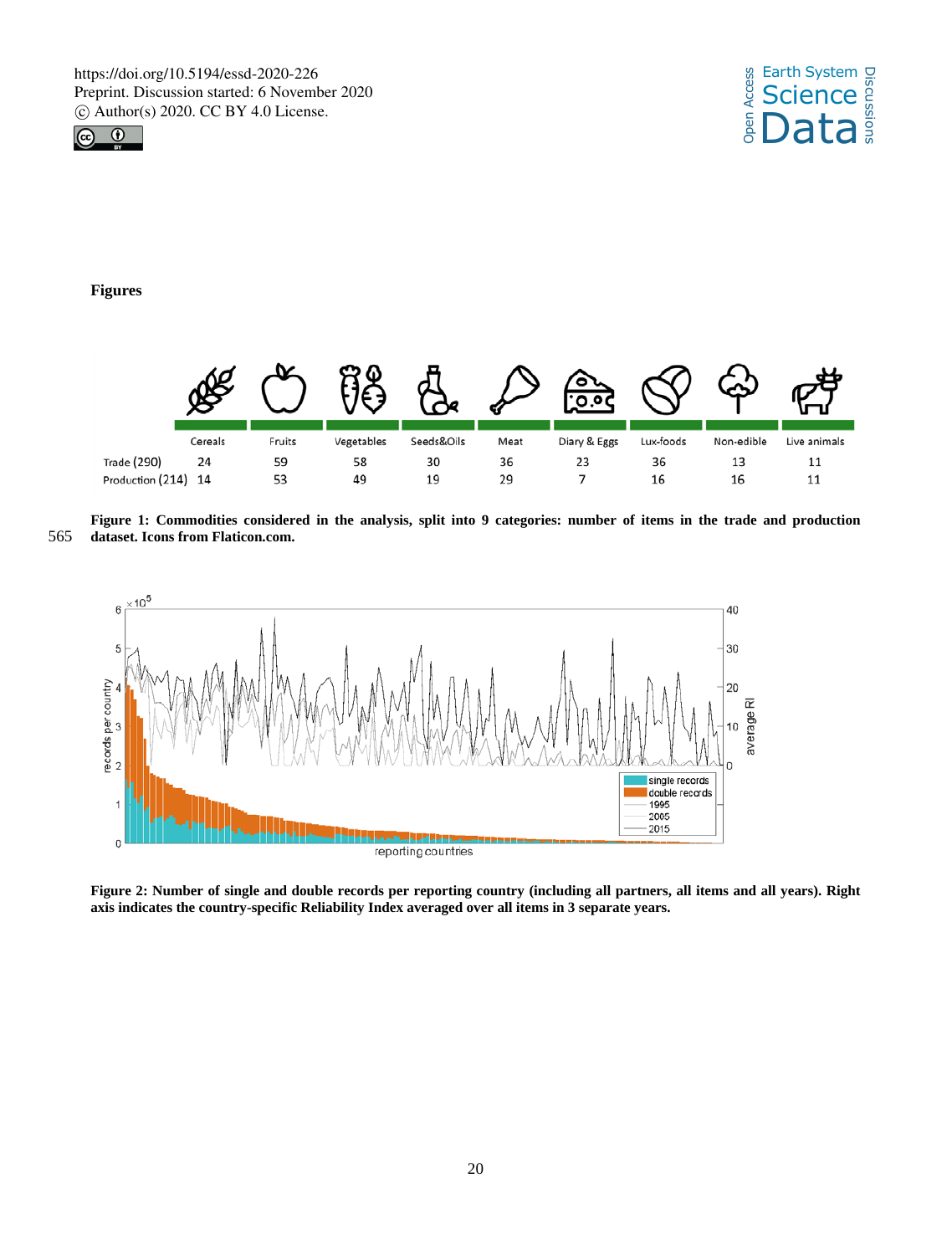



# **Figures**



**Figure 1: Commodities considered in the analysis, split into 9 categories: number of items in the trade and production**  565 **dataset. Icons from Flaticon.com.**



**Figure 2: Number of single and double records per reporting country (including all partners, all items and all years). Right axis indicates the country-specific Reliability Index averaged over all items in 3 separate years.**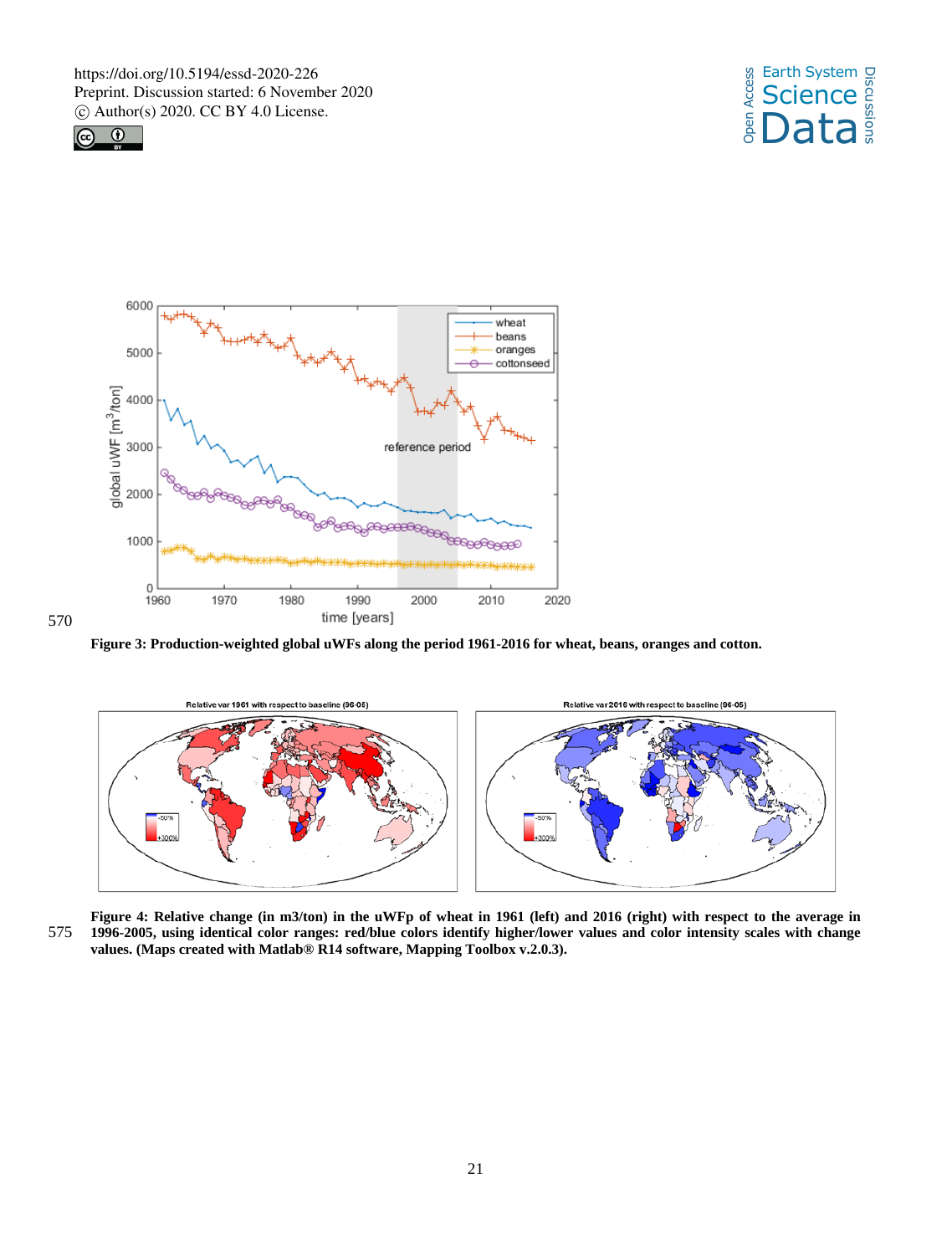

570





**Figure 3: Production-weighted global uWFs along the period 1961-2016 for wheat, beans, oranges and cotton.**



**Figure 4: Relative change (in m3/ton) in the uWFp of wheat in 1961 (left) and 2016 (right) with respect to the average in**  575 **1996-2005, using identical color ranges: red/blue colors identify higher/lower values and color intensity scales with change values. (Maps created with Matlab® R14 software, Mapping Toolbox v.2.0.3).**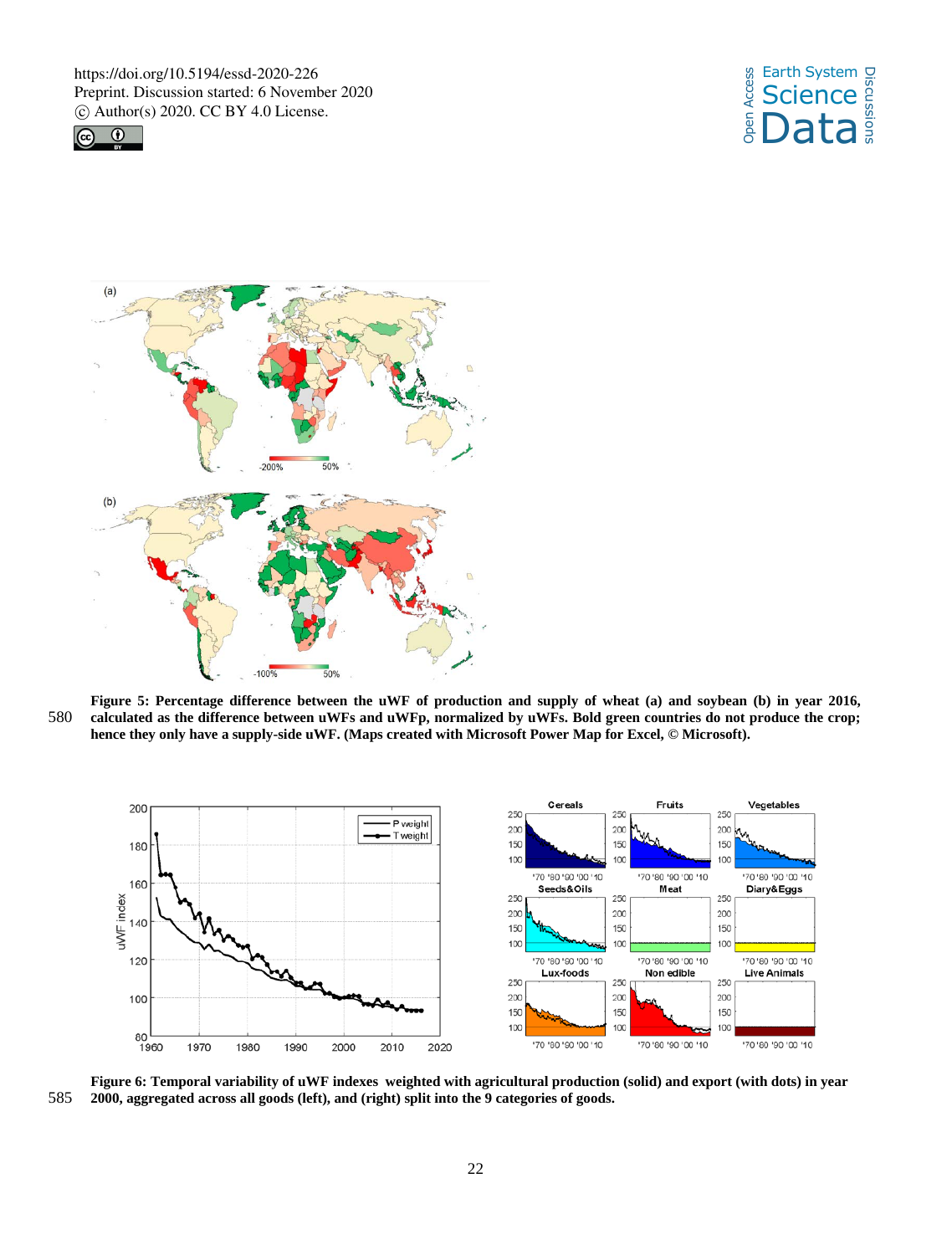





**Figure 5: Percentage difference between the uWF of production and supply of wheat (a) and soybean (b) in year 2016,**  580 **calculated as the difference between uWFs and uWFp, normalized by uWFs. Bold green countries do not produce the crop; hence they only have a supply-side uWF. (Maps created with Microsoft Power Map for Excel, © Microsoft).**



**Figure 6: Temporal variability of uWF indexes weighted with agricultural production (solid) and export (with dots) in year**  585 **2000, aggregated across all goods (left), and (right) split into the 9 categories of goods.**